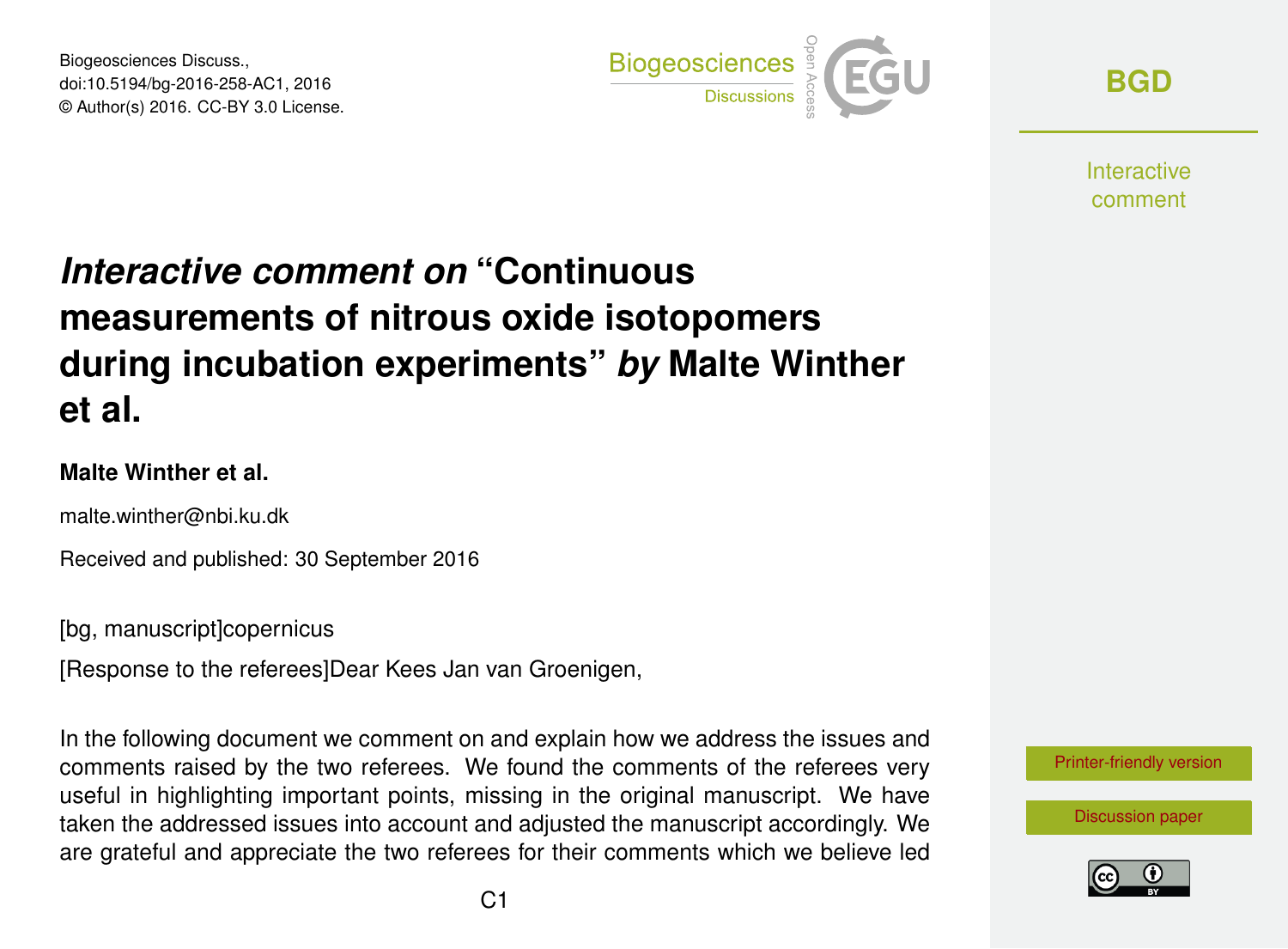Biogeosciences Discuss., doi:10.5194/bg-2016-258-AC1, 2016 © Author(s) 2016. CC-BY 3.0 License.



**[BGD](http://www.biogeosciences-discuss.net/)**

**Interactive** comment

# *Interactive comment on* **"Continuous measurements of nitrous oxide isotopomers during incubation experiments"** *by* **Malte Winther et al.**

### **Malte Winther et al.**

malte.winther@nbi.ku.dk

Received and published: 30 September 2016

[bg, manuscript]copernicus

[Response to the referees]Dear Kees Jan van Groenigen,

In the following document we comment on and explain how we address the issues and comments raised by the two referees. We found the comments of the referees very useful in highlighting important points, missing in the original manuscript. We have taken the addressed issues into account and adjusted the manuscript accordingly. We are grateful and appreciate the two referees for their comments which we believe led

[Printer-friendly version](http://www.biogeosciences-discuss.net/bg-2016-258/bg-2016-258-AC1-print.pdf)

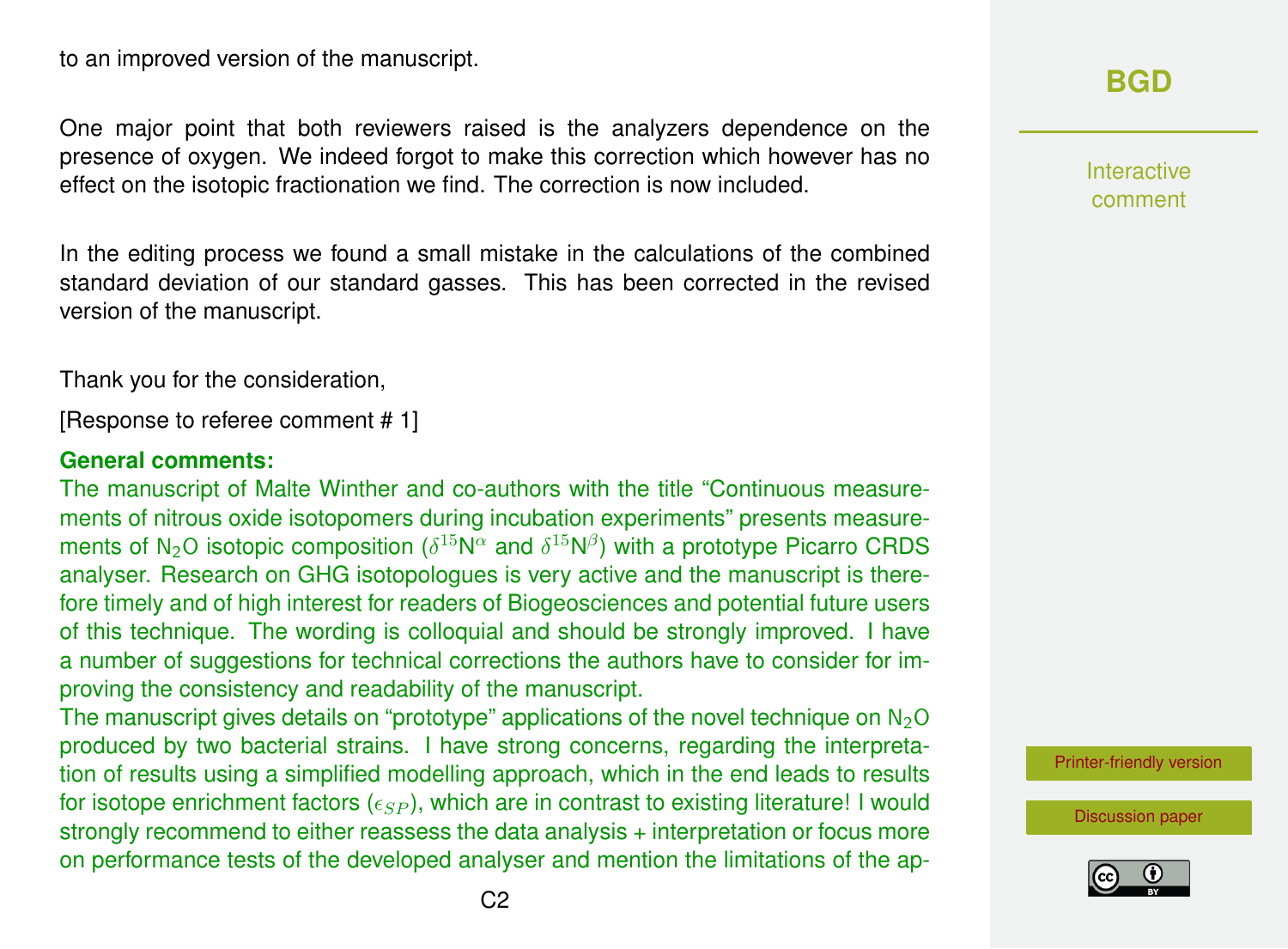to an improved version of the manuscript.

One major point that both reviewers raised is the analyzers dependence on the presence of oxygen. We indeed forgot to make this correction which however has no effect on the isotopic fractionation we find. The correction is now included.

In the editing process we found a small mistake in the calculations of the combined standard deviation of our standard gasses. This has been corrected in the revised version of the manuscript.

Thank you for the consideration,

[Response to referee comment # 1]

#### **General comments:**

The manuscript of Malte Winther and co-authors with the title "Continuous measurements of nitrous oxide isotopomers during incubation experiments" presents measurements of N<sub>2</sub>O isotopic composition ( $\delta^{15}$ N $^{\alpha}$  and  $\delta^{15}$ N $^{\beta}$ ) with a prototype Picarro CRDS analyser. Research on GHG isotopologues is very active and the manuscript is therefore timely and of high interest for readers of Biogeosciences and potential future users of this technique. The wording is colloquial and should be strongly improved. I have a number of suggestions for technical corrections the authors have to consider for improving the consistency and readability of the manuscript.

The manuscript gives details on "prototype" applications of the novel technique on  $N_2O$ produced by two bacterial strains. I have strong concerns, regarding the interpretation of results using a simplified modelling approach, which in the end leads to results for isotope enrichment factors  $(\epsilon_{SP})$ , which are in contrast to existing literature! I would strongly recommend to either reassess the data analysis + interpretation or focus more on performance tests of the developed analyser and mention the limitations of the ap**[BGD](http://www.biogeosciences-discuss.net/)**

Interactive comment

[Printer-friendly version](http://www.biogeosciences-discuss.net/bg-2016-258/bg-2016-258-AC1-print.pdf)

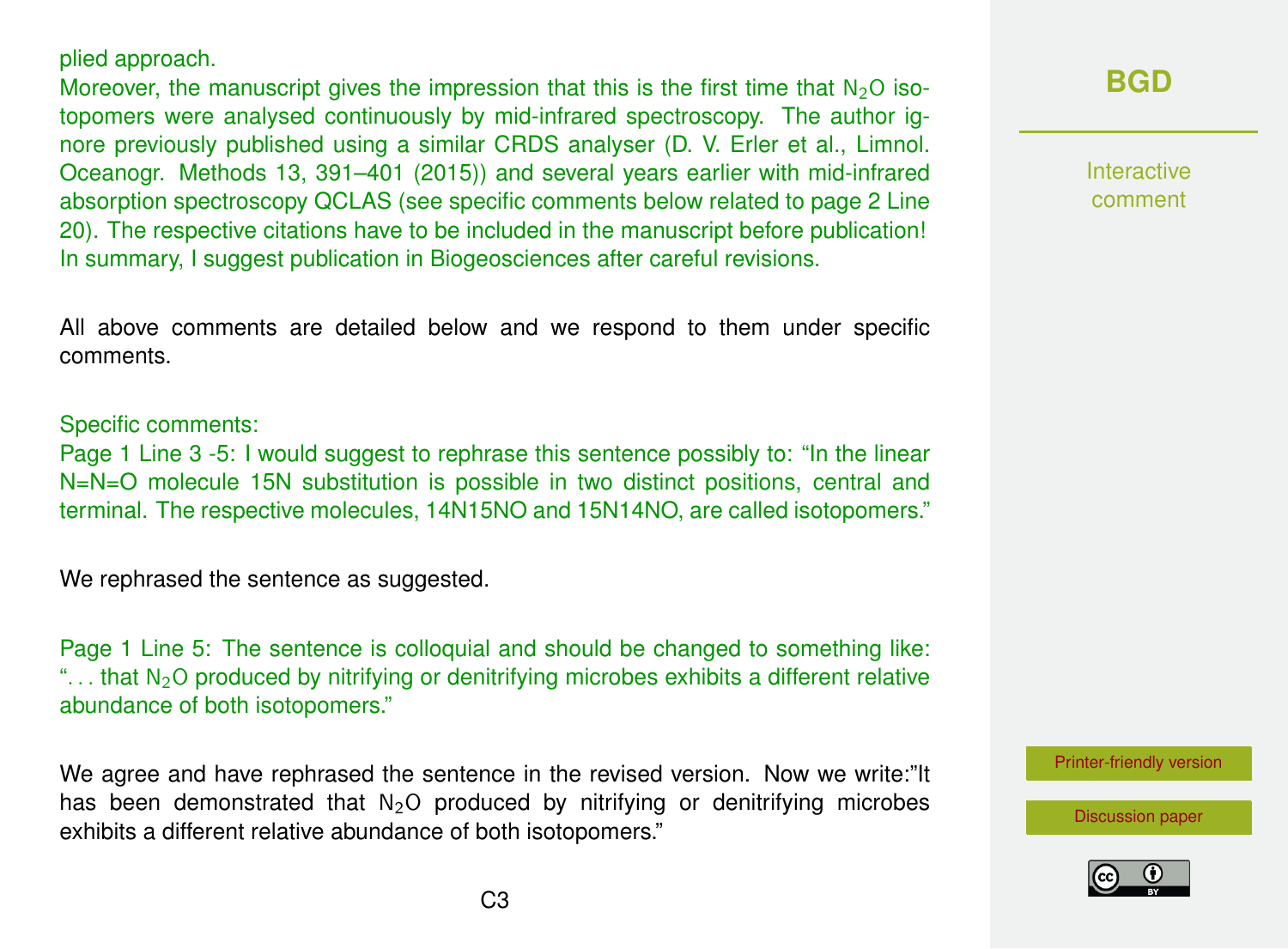#### plied approach.

Moreover, the manuscript gives the impression that this is the first time that  $N_2O$  isotopomers were analysed continuously by mid-infrared spectroscopy. The author ignore previously published using a similar CRDS analyser (D. V. Erler et al., Limnol. Oceanogr. Methods 13, 391–401 (2015)) and several years earlier with mid-infrared absorption spectroscopy QCLAS (see specific comments below related to page 2 Line 20). The respective citations have to be included in the manuscript before publication! In summary, I suggest publication in Biogeosciences after careful revisions.

All above comments are detailed below and we respond to them under specific comments.

#### Specific comments:

Page 1 Line 3 -5: I would suggest to rephrase this sentence possibly to: "In the linear N=N=O molecule 15N substitution is possible in two distinct positions, central and terminal. The respective molecules, 14N15NO and 15N14NO, are called isotopomers."

We rephrased the sentence as suggested.

Page 1 Line 5: The sentence is colloquial and should be changed to something like: "... that  $N_2O$  produced by nitrifying or denitrifying microbes exhibits a different relative abundance of both isotopomers."

We agree and have rephrased the sentence in the revised version. Now we write:"It has been demonstrated that  $N_2O$  produced by nitrifying or denitrifying microbes exhibits a different relative abundance of both isotopomers."

### **[BGD](http://www.biogeosciences-discuss.net/)**

Interactive comment

[Printer-friendly version](http://www.biogeosciences-discuss.net/bg-2016-258/bg-2016-258-AC1-print.pdf)

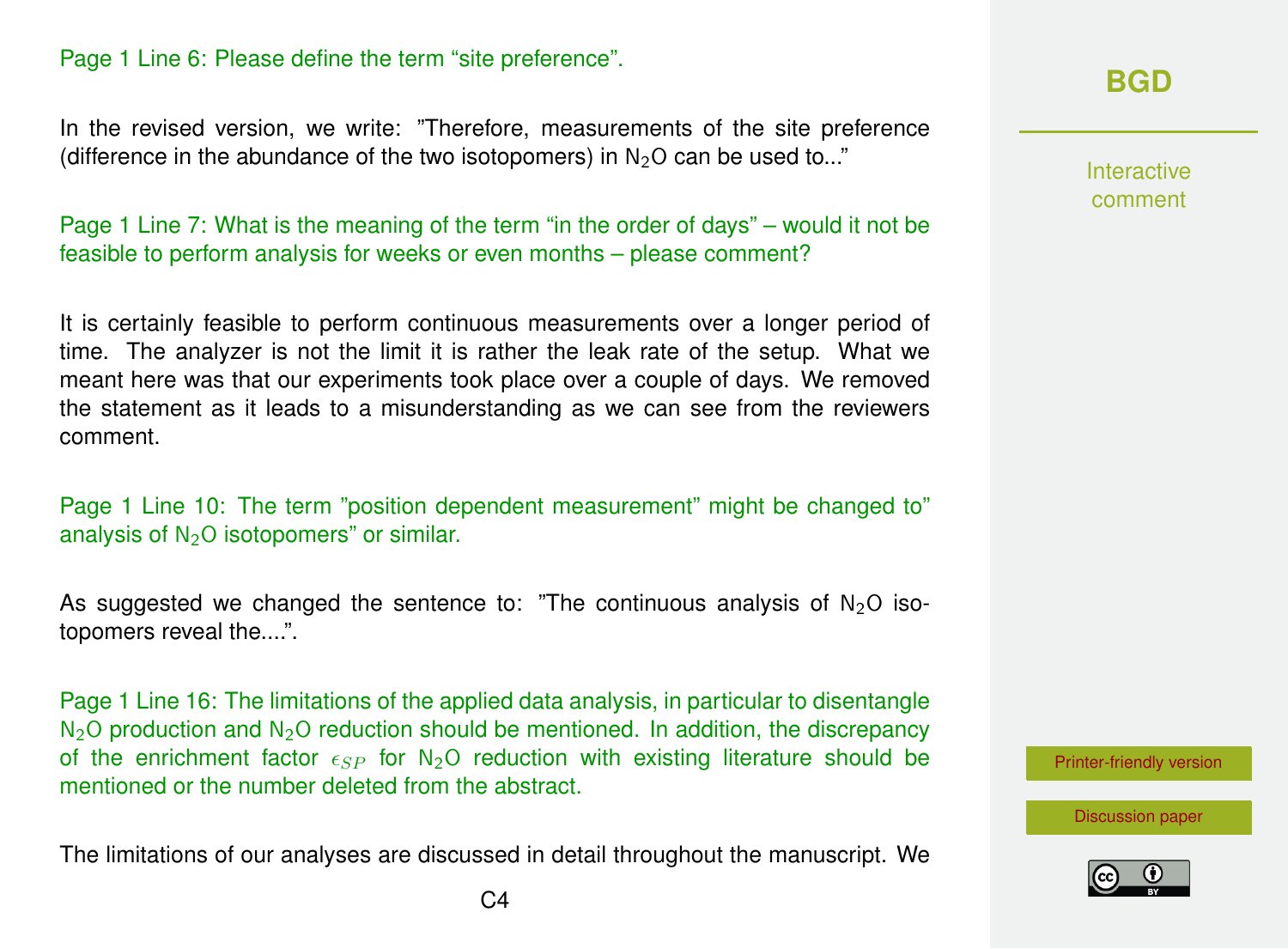### Page 1 Line 6: Please define the term "site preference".

In the revised version, we write: "Therefore, measurements of the site preference (difference in the abundance of the two isotopomers) in  $N<sub>2</sub>O$  can be used to..."

Page 1 Line 7: What is the meaning of the term "in the order of days" – would it not be feasible to perform analysis for weeks or even months – please comment?

It is certainly feasible to perform continuous measurements over a longer period of time. The analyzer is not the limit it is rather the leak rate of the setup. What we meant here was that our experiments took place over a couple of days. We removed the statement as it leads to a misunderstanding as we can see from the reviewers comment.

Page 1 Line 10: The term "position dependent measurement" might be changed to" analysis of  $N<sub>2</sub>O$  isotopomers" or similar.

As suggested we changed the sentence to: "The continuous analysis of  $N_2O$  isotopomers reveal the....".

Page 1 Line 16: The limitations of the applied data analysis, in particular to disentangle  $N<sub>2</sub>O$  production and  $N<sub>2</sub>O$  reduction should be mentioned. In addition, the discrepancy of the enrichment factor  $\epsilon_{SP}$  for N<sub>2</sub>O reduction with existing literature should be mentioned or the number deleted from the abstract.

The limitations of our analyses are discussed in detail throughout the manuscript. We

### **[BGD](http://www.biogeosciences-discuss.net/)**

Interactive comment

[Printer-friendly version](http://www.biogeosciences-discuss.net/bg-2016-258/bg-2016-258-AC1-print.pdf)

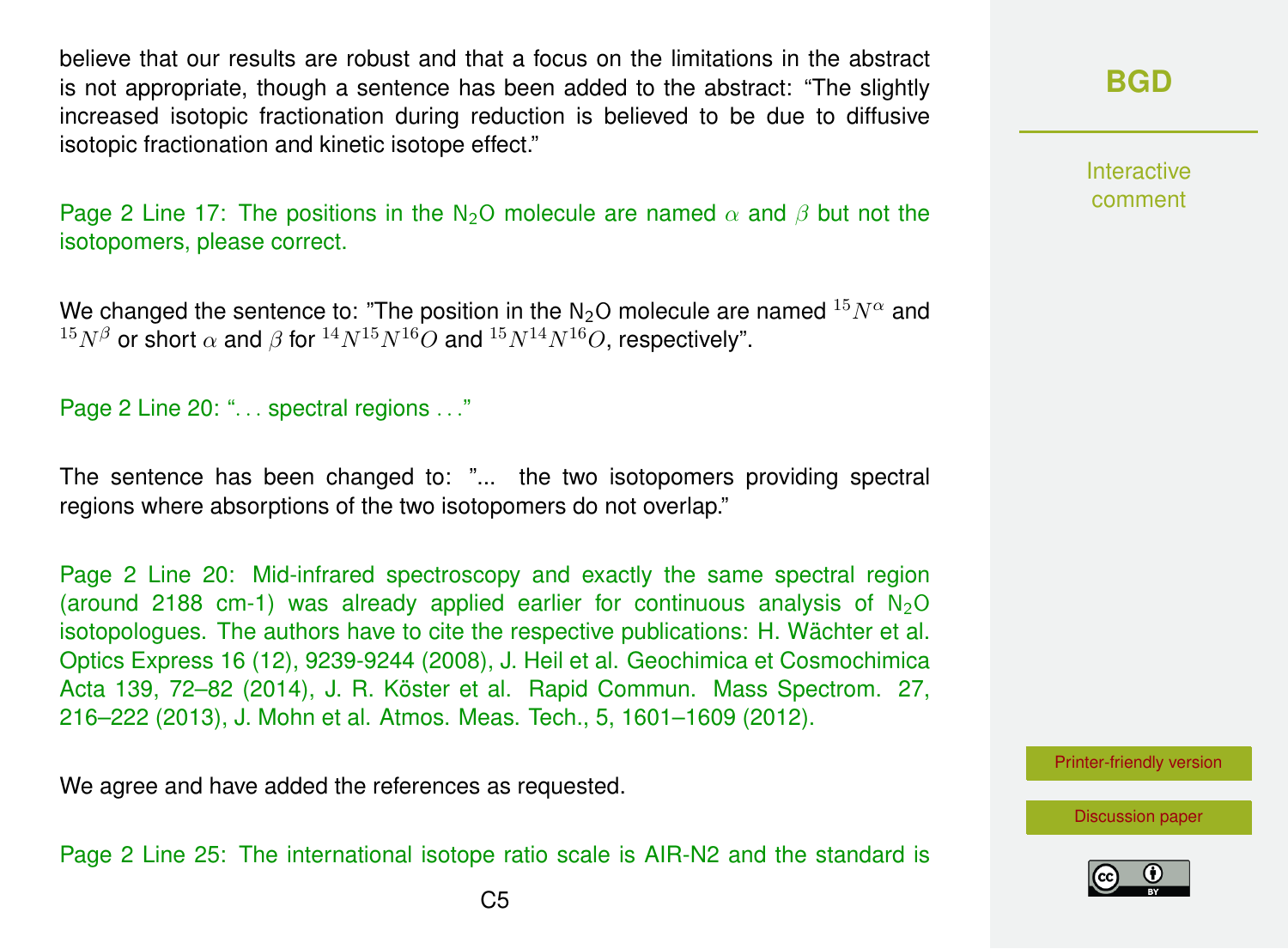believe that our results are robust and that a focus on the limitations in the abstract is not appropriate, though a sentence has been added to the abstract: "The slightly increased isotopic fractionation during reduction is believed to be due to diffusive isotopic fractionation and kinetic isotope effect."

Page 2 Line 17: The positions in the N<sub>2</sub>O molecule are named  $\alpha$  and  $\beta$  but not the isotopomers, please correct.

We changed the sentence to: "The position in the N<sub>2</sub>O molecule are named  $^{15}N^{\alpha}$  and  $15N^{\beta}$  or short  $\alpha$  and  $\beta$  for  $14N^{15}N^{16}O$  and  $15N^{14}N^{16}O$ , respectively".

#### Page 2 Line 20: "... spectral regions ..."

The sentence has been changed to: "... the two isotopomers providing spectral regions where absorptions of the two isotopomers do not overlap."

Page 2 Line 20: Mid-infrared spectroscopy and exactly the same spectral region (around 2188 cm-1) was already applied earlier for continuous analysis of  $N_2O$ isotopologues. The authors have to cite the respective publications: H. Wächter et al. Optics Express 16 (12), 9239-9244 (2008), J. Heil et al. Geochimica et Cosmochimica Acta 139, 72–82 (2014), J. R. Köster et al. Rapid Commun. Mass Spectrom. 27, 216–222 (2013), J. Mohn et al. Atmos. Meas. Tech., 5, 1601–1609 (2012).

We agree and have added the references as requested.

Page 2 Line 25: The international isotope ratio scale is AIR-N2 and the standard is

**Interactive** comment

[Printer-friendly version](http://www.biogeosciences-discuss.net/bg-2016-258/bg-2016-258-AC1-print.pdf)

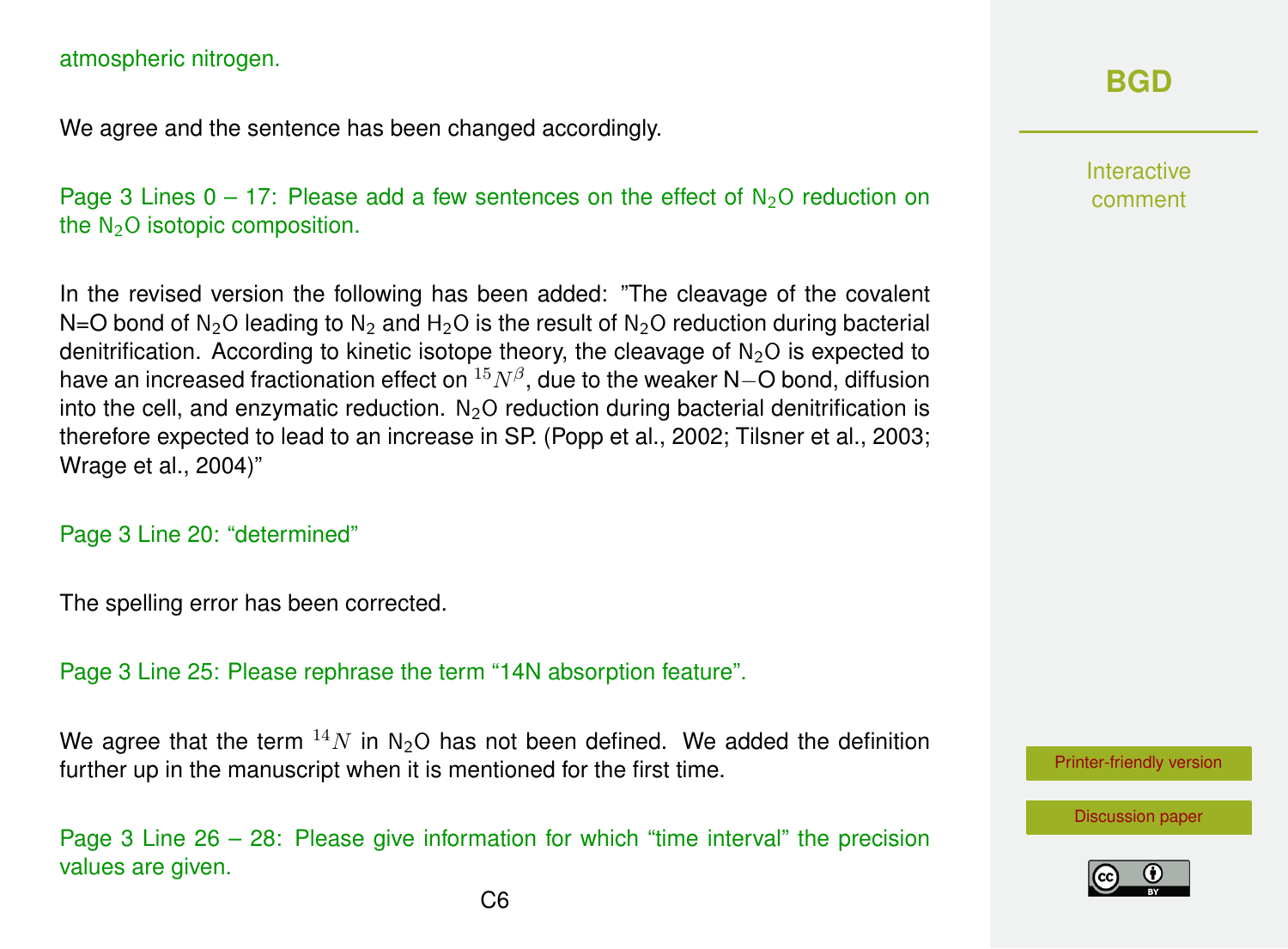#### atmospheric nitrogen.

We agree and the sentence has been changed accordingly.

Page 3 Lines  $0 - 17$ : Please add a few sentences on the effect of  $N_2O$  reduction on the  $N<sub>2</sub>O$  isotopic composition.

In the revised version the following has been added: "The cleavage of the covalent N=O bond of N<sub>2</sub>O leading to N<sub>2</sub> and H<sub>2</sub>O is the result of N<sub>2</sub>O reduction during bacterial denitrification. According to kinetic isotope theory, the cleavage of  $N<sub>2</sub>O$  is expected to have an increased fractionation effect on  $^{15}N^{\beta},$  due to the weaker N $-$ O bond, diffusion into the cell, and enzymatic reduction.  $N<sub>2</sub>O$  reduction during bacterial denitrification is therefore expected to lead to an increase in SP. (Popp et al., 2002; Tilsner et al., 2003; Wrage et al., 2004)"

#### Page 3 Line 20: "determined"

The spelling error has been corrected.

Page 3 Line 25: Please rephrase the term "14N absorption feature".

We agree that the term  $14N$  in N<sub>2</sub>O has not been defined. We added the definition further up in the manuscript when it is mentioned for the first time.

Page 3 Line 26 – 28: Please give information for which "time interval" the precision values are given.

### **[BGD](http://www.biogeosciences-discuss.net/)**

Interactive comment

[Printer-friendly version](http://www.biogeosciences-discuss.net/bg-2016-258/bg-2016-258-AC1-print.pdf)

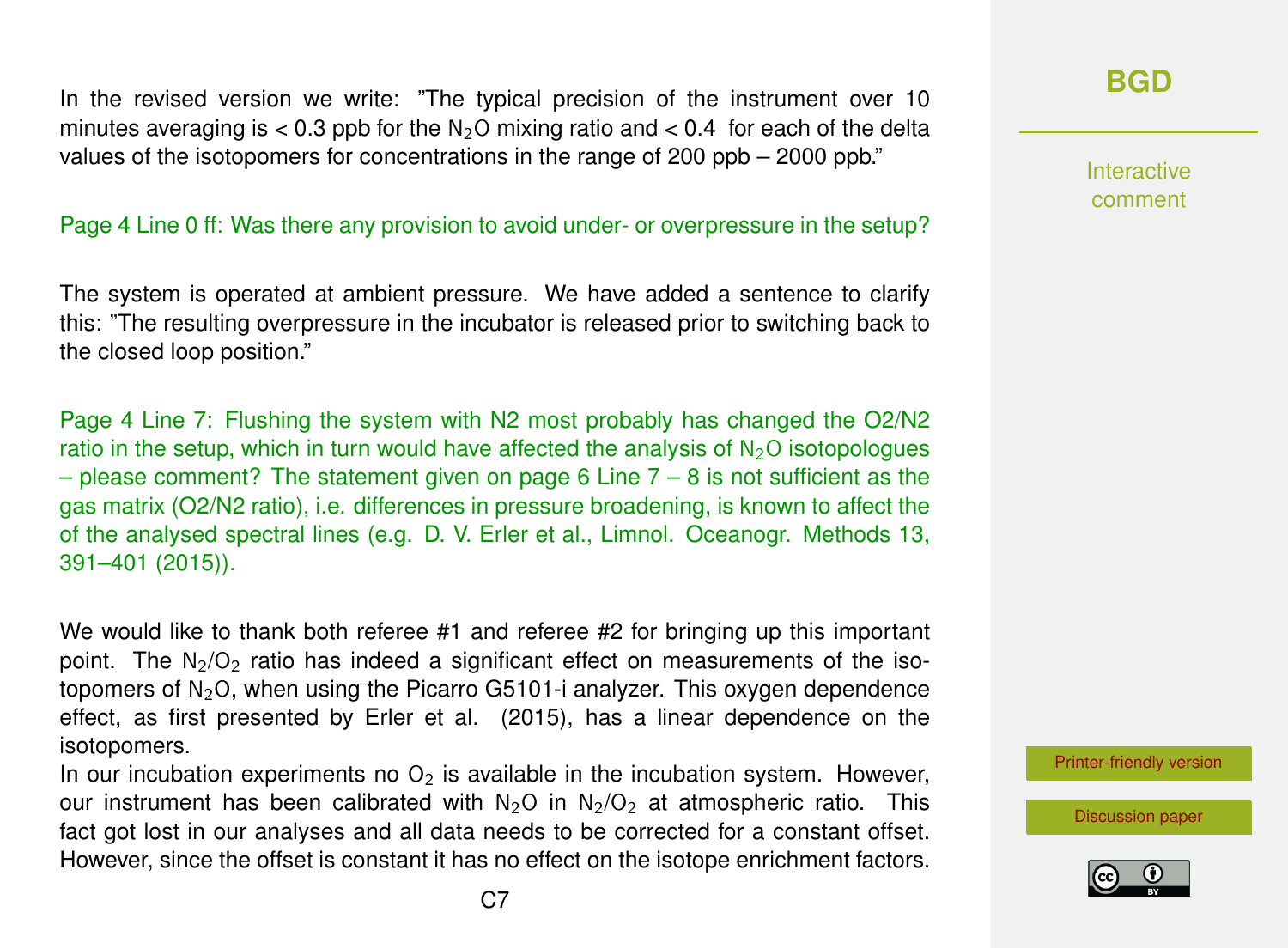In the revised version we write: "The typical precision of the instrument over 10 minutes averaging is  $< 0.3$  ppb for the N<sub>2</sub>O mixing ratio and  $< 0.4$  for each of the delta values of the isotopomers for concentrations in the range of 200 ppb – 2000 ppb."

#### Page 4 Line 0 ff: Was there any provision to avoid under- or overpressure in the setup?

The system is operated at ambient pressure. We have added a sentence to clarify this: "The resulting overpressure in the incubator is released prior to switching back to the closed loop position."

Page 4 Line 7: Flushing the system with N2 most probably has changed the O2/N2 ratio in the setup, which in turn would have affected the analysis of  $N_2O$  isotopologues  $-$  please comment? The statement given on page 6 Line  $7 - 8$  is not sufficient as the gas matrix (O2/N2 ratio), i.e. differences in pressure broadening, is known to affect the of the analysed spectral lines (e.g. D. V. Erler et al., Limnol. Oceanogr. Methods 13, 391–401 (2015)).

We would like to thank both referee #1 and referee #2 for bringing up this important point. The  $N_2/Q_2$  ratio has indeed a significant effect on measurements of the isotopomers of  $N_2O$ , when using the Picarro G5101-i analyzer. This oxygen dependence effect, as first presented by Erler et al. (2015), has a linear dependence on the isotopomers.

In our incubation experiments no  $O<sub>2</sub>$  is available in the incubation system. However, our instrument has been calibrated with  $N_2O$  in  $N_2/O_2$  at atmospheric ratio. This fact got lost in our analyses and all data needs to be corrected for a constant offset. However, since the offset is constant it has no effect on the isotope enrichment factors.

### **[BGD](http://www.biogeosciences-discuss.net/)**

Interactive comment

[Printer-friendly version](http://www.biogeosciences-discuss.net/bg-2016-258/bg-2016-258-AC1-print.pdf)

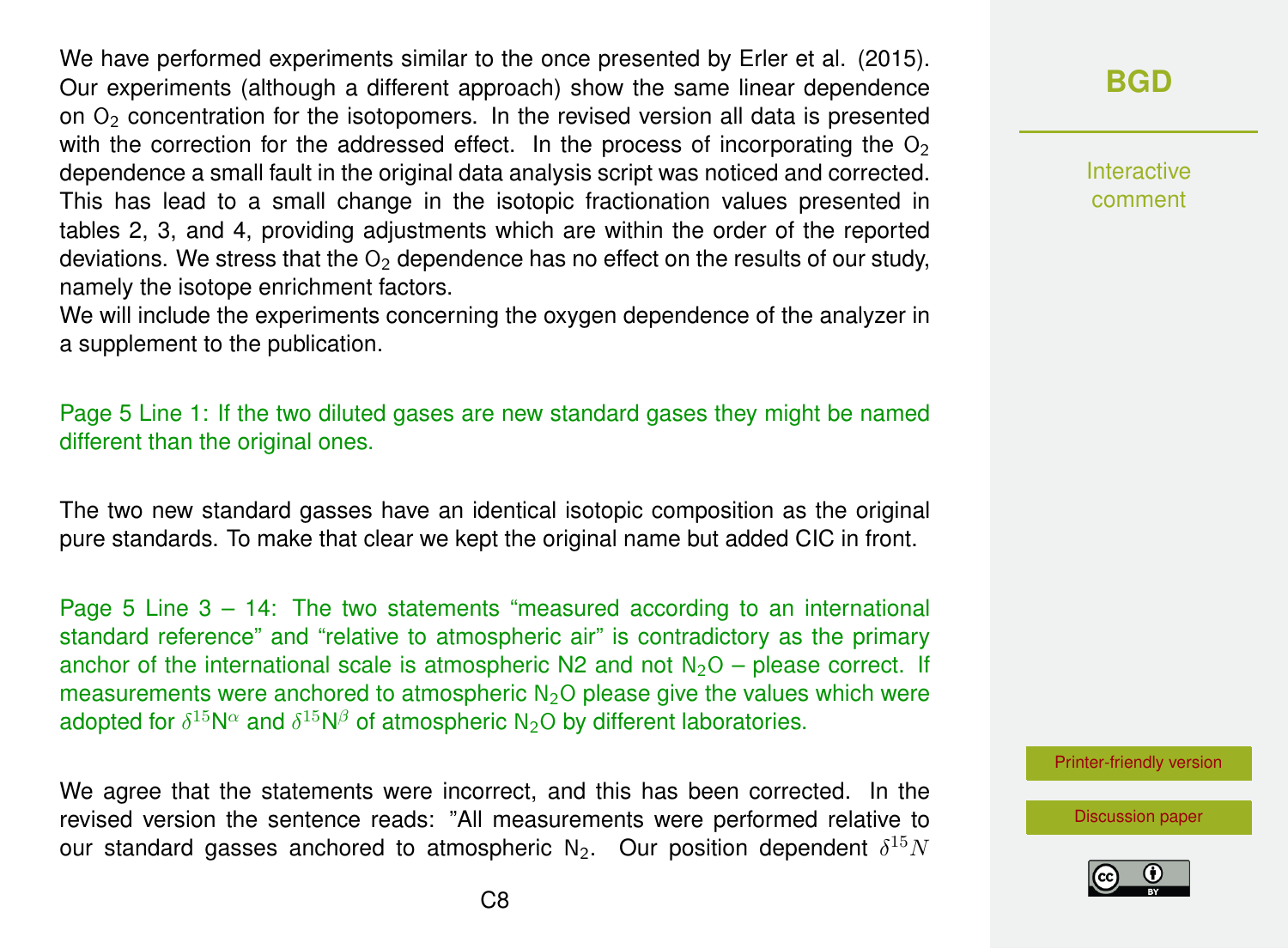We have performed experiments similar to the once presented by Erler et al. (2015). Our experiments (although a different approach) show the same linear dependence on  $O<sub>2</sub>$  concentration for the isotopomers. In the revised version all data is presented with the correction for the addressed effect. In the process of incorporating the  $O<sub>2</sub>$ dependence a small fault in the original data analysis script was noticed and corrected. This has lead to a small change in the isotopic fractionation values presented in tables 2, 3, and 4, providing adjustments which are within the order of the reported deviations. We stress that the  $O<sub>2</sub>$  dependence has no effect on the results of our study, namely the isotope enrichment factors.

We will include the experiments concerning the oxygen dependence of the analyzer in a supplement to the publication.

Page 5 Line 1: If the two diluted gases are new standard gases they might be named different than the original ones.

The two new standard gasses have an identical isotopic composition as the original pure standards. To make that clear we kept the original name but added CIC in front.

Page 5 Line 3 – 14: The two statements "measured according to an international standard reference" and "relative to atmospheric air" is contradictory as the primary anchor of the international scale is atmospheric  $N^2$  and not  $N^2O$  – please correct. If measurements were anchored to atmospheric  $N_2O$  please give the values which were adopted for  $\delta^{15}\mathsf{N}^\alpha$  and  $\delta^{15}\mathsf{N}^\beta$  of atmospheric N<sub>2</sub>O by different laboratories.

We agree that the statements were incorrect, and this has been corrected. In the revised version the sentence reads: "All measurements were performed relative to our standard gasses anchored to atmospheric N<sub>2</sub>. Our position dependent  $\delta^{15}N$ 

# **[BGD](http://www.biogeosciences-discuss.net/)**

Interactive comment

[Printer-friendly version](http://www.biogeosciences-discuss.net/bg-2016-258/bg-2016-258-AC1-print.pdf)

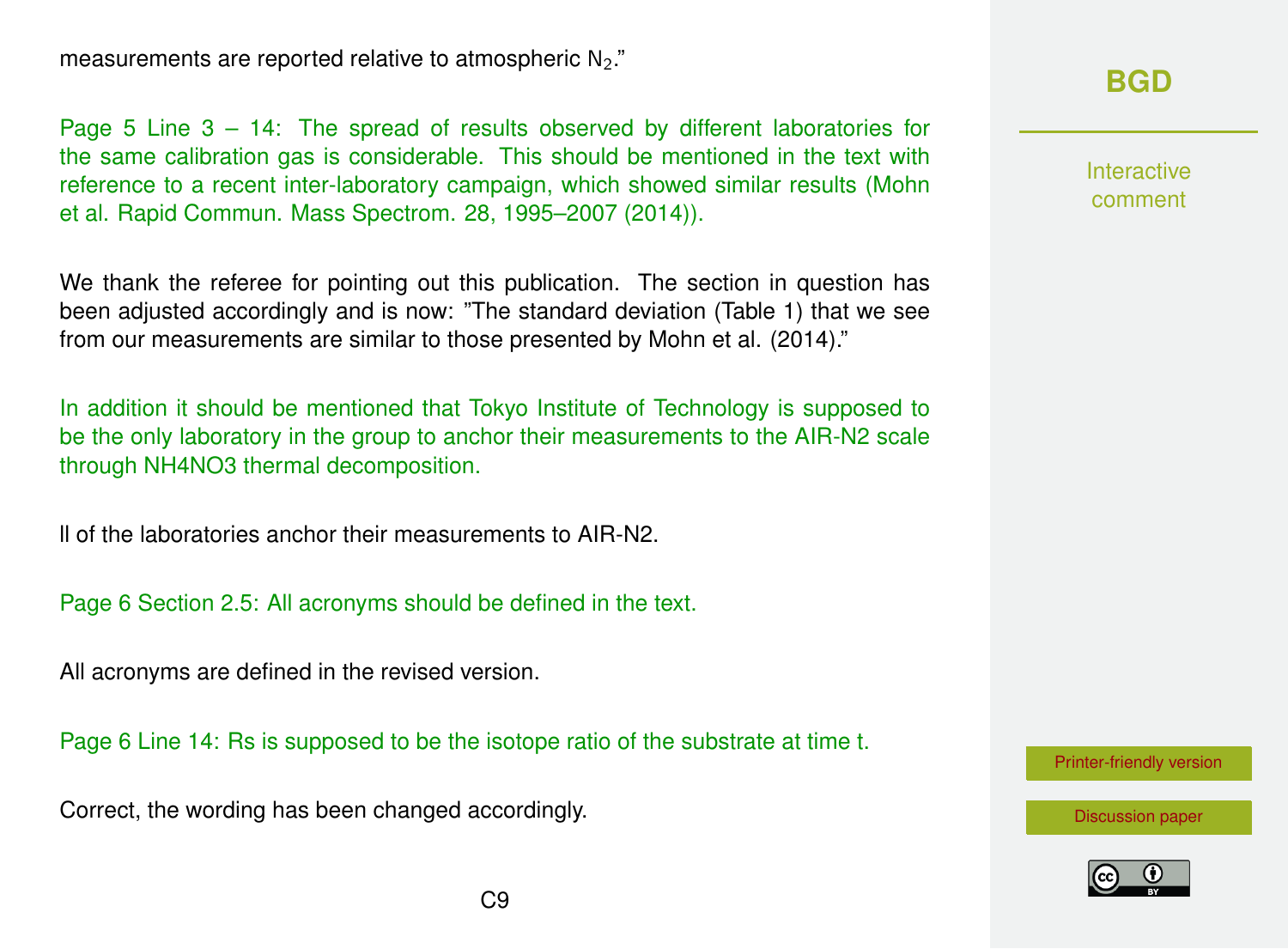measurements are reported relative to atmospheric N<sub>2</sub>."

### **[BGD](http://www.biogeosciences-discuss.net/)**

Interactive comment

[Printer-friendly version](http://www.biogeosciences-discuss.net/bg-2016-258/bg-2016-258-AC1-print.pdf)

[Discussion paper](http://www.biogeosciences-discuss.net/bg-2016-258)



C<sub>9</sub>

Page 5 Line 3 – 14: The spread of results observed by different laboratories for the same calibration gas is considerable. This should be mentioned in the text with reference to a recent inter-laboratory campaign, which showed similar results (Mohn et al. Rapid Commun. Mass Spectrom. 28, 1995–2007 (2014)).

We thank the referee for pointing out this publication. The section in question has been adjusted accordingly and is now: "The standard deviation (Table 1) that we see from our measurements are similar to those presented by Mohn et al. (2014)."

In addition it should be mentioned that Tokyo Institute of Technology is supposed to be the only laboratory in the group to anchor their measurements to the AIR-N2 scale through NH4NO3 thermal decomposition.

ll of the laboratories anchor their measurements to AIR-N2.

Page 6 Section 2.5: All acronyms should be defined in the text.

All acronyms are defined in the revised version.

Page 6 Line 14: Rs is supposed to be the isotope ratio of the substrate at time t.

Correct, the wording has been changed accordingly.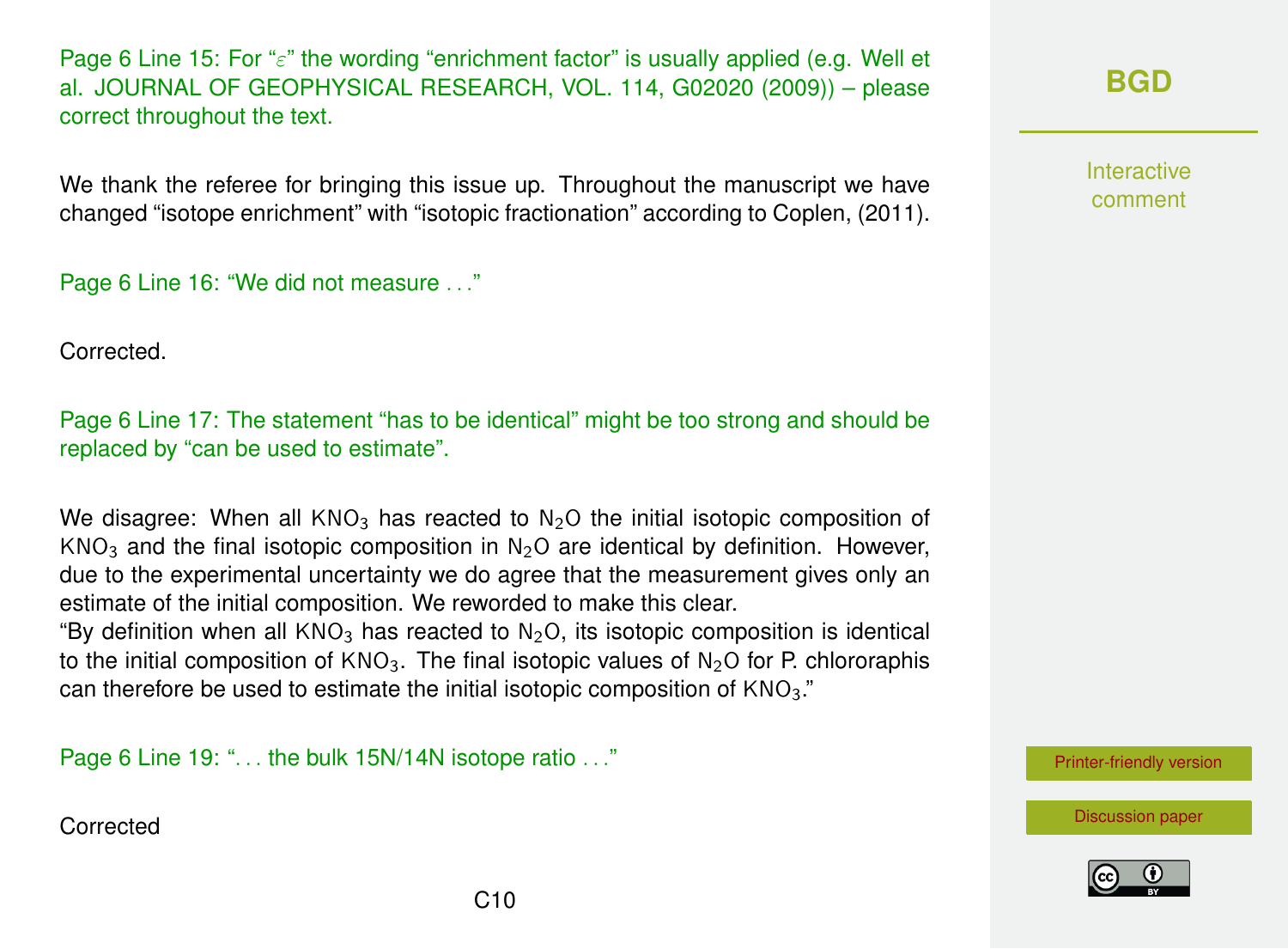Page 6 Line 15: For " $\varepsilon$ " the wording "enrichment factor" is usually applied (e.g. Well et al. JOURNAL OF GEOPHYSICAL RESEARCH, VOL. 114, G02020 (2009)) – please correct throughout the text.

We thank the referee for bringing this issue up. Throughout the manuscript we have changed "isotope enrichment" with "isotopic fractionation" according to Coplen, (2011).

Page 6 Line 16: "We did not measure . . ."

Corrected.

Page 6 Line 17: The statement "has to be identical" might be too strong and should be replaced by "can be used to estimate".

We disagree: When all  $KNO<sub>3</sub>$  has reacted to  $N<sub>2</sub>O$  the initial isotopic composition of  $KNO<sub>3</sub>$  and the final isotopic composition in N<sub>2</sub>O are identical by definition. However, due to the experimental uncertainty we do agree that the measurement gives only an estimate of the initial composition. We reworded to make this clear.

"By definition when all  $KNO<sub>3</sub>$  has reacted to  $N<sub>2</sub>O$ , its isotopic composition is identical to the initial composition of  $KNO_3$ . The final isotopic values of N<sub>2</sub>O for P. chlororaphis can therefore be used to estimate the initial isotopic composition of  $KNO<sub>3</sub>$ ."

Page 6 Line 19: "... the bulk 15N/14N isotope ratio ..."

**Corrected** 

Interactive comment

[Printer-friendly version](http://www.biogeosciences-discuss.net/bg-2016-258/bg-2016-258-AC1-print.pdf)

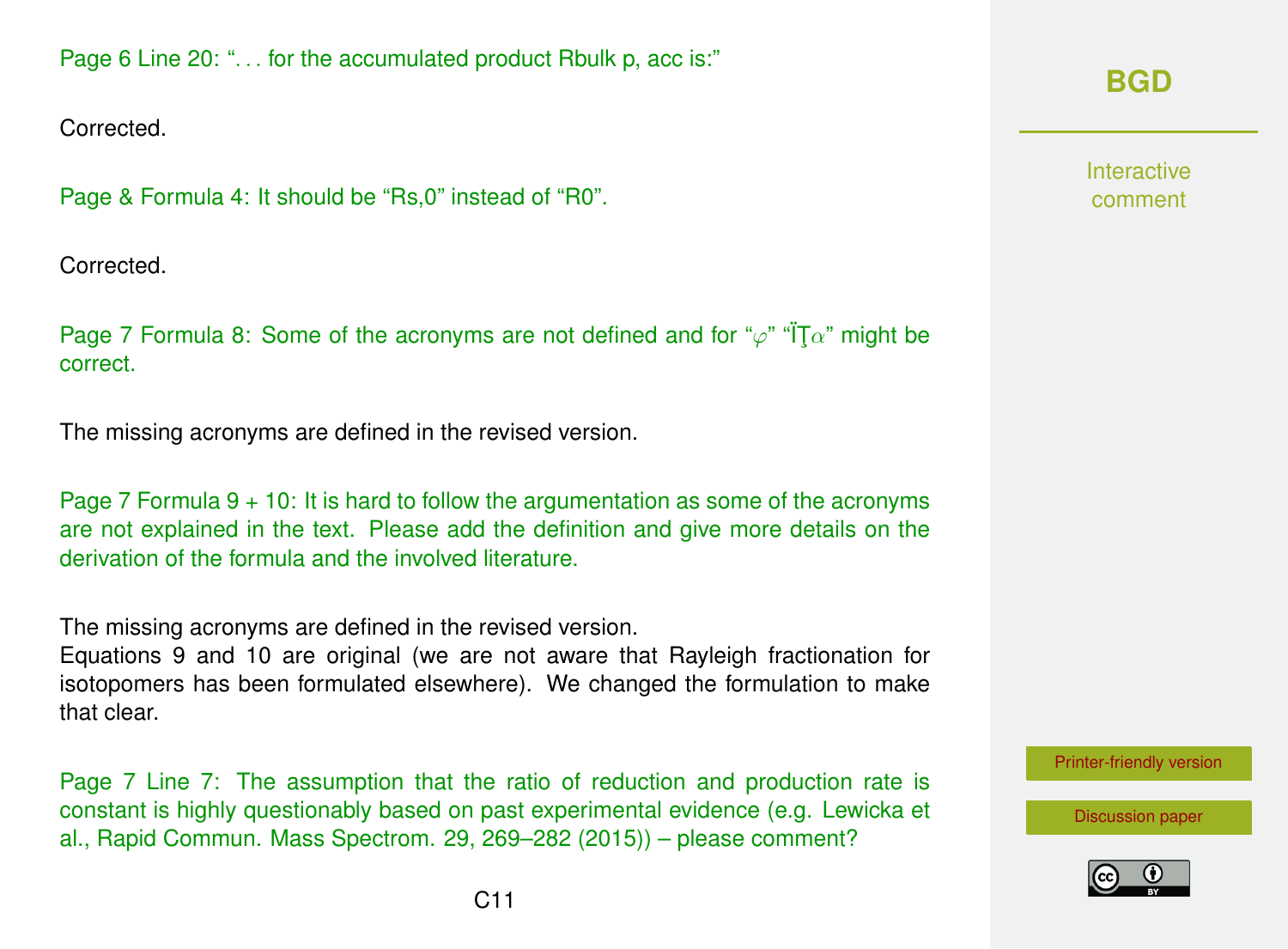Corrected.

Page & Formula 4: It should be "Rs,0" instead of "R0".

Corrected.

Page 7 Formula 8: Some of the acronyms are not defined and for " $\varphi$ " " $T\alpha$ " might be correct.

The missing acronyms are defined in the revised version.

Page 7 Formula  $9 + 10$ : It is hard to follow the argumentation as some of the acronyms are not explained in the text. Please add the definition and give more details on the derivation of the formula and the involved literature.

The missing acronyms are defined in the revised version.

Equations 9 and 10 are original (we are not aware that Rayleigh fractionation for isotopomers has been formulated elsewhere). We changed the formulation to make that clear.

Page 7 Line 7: The assumption that the ratio of reduction and production rate is constant is highly questionably based on past experimental evidence (e.g. Lewicka et al., Rapid Commun. Mass Spectrom. 29, 269–282 (2015)) – please comment?

# **[BGD](http://www.biogeosciences-discuss.net/)**

Interactive comment

[Printer-friendly version](http://www.biogeosciences-discuss.net/bg-2016-258/bg-2016-258-AC1-print.pdf)

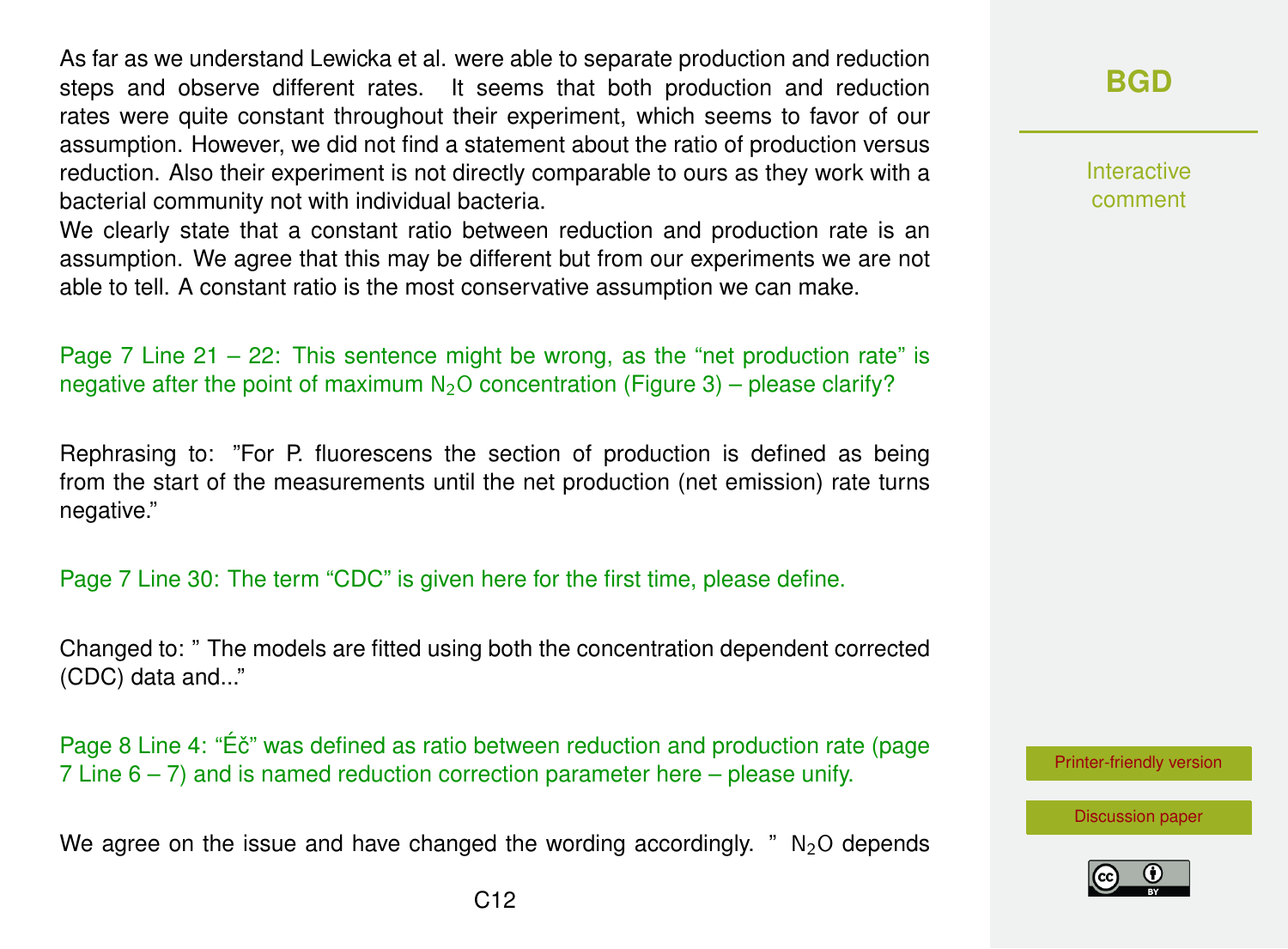As far as we understand Lewicka et al. were able to separate production and reduction steps and observe different rates. It seems that both production and reduction rates were quite constant throughout their experiment, which seems to favor of our assumption. However, we did not find a statement about the ratio of production versus reduction. Also their experiment is not directly comparable to ours as they work with a bacterial community not with individual bacteria.

We clearly state that a constant ratio between reduction and production rate is an assumption. We agree that this may be different but from our experiments we are not able to tell. A constant ratio is the most conservative assumption we can make.

Page 7 Line  $21 - 22$ : This sentence might be wrong, as the "net production rate" is negative after the point of maximum  $N_2O$  concentration (Figure 3) – please clarify?

Rephrasing to: "For P. fluorescens the section of production is defined as being from the start of the measurements until the net production (net emission) rate turns negative."

Page 7 Line 30: The term "CDC" is given here for the first time, please define.

Changed to: " The models are fitted using both the concentration dependent corrected (CDC) data and..."

Page 8 Line 4: "Éč" was defined as ratio between reduction and production rate (page 7 Line  $6 - 7$ ) and is named reduction correction parameter here – please unify.

We agree on the issue and have changed the wording accordingly. "  $N_2O$  depends

Interactive comment

[Printer-friendly version](http://www.biogeosciences-discuss.net/bg-2016-258/bg-2016-258-AC1-print.pdf)

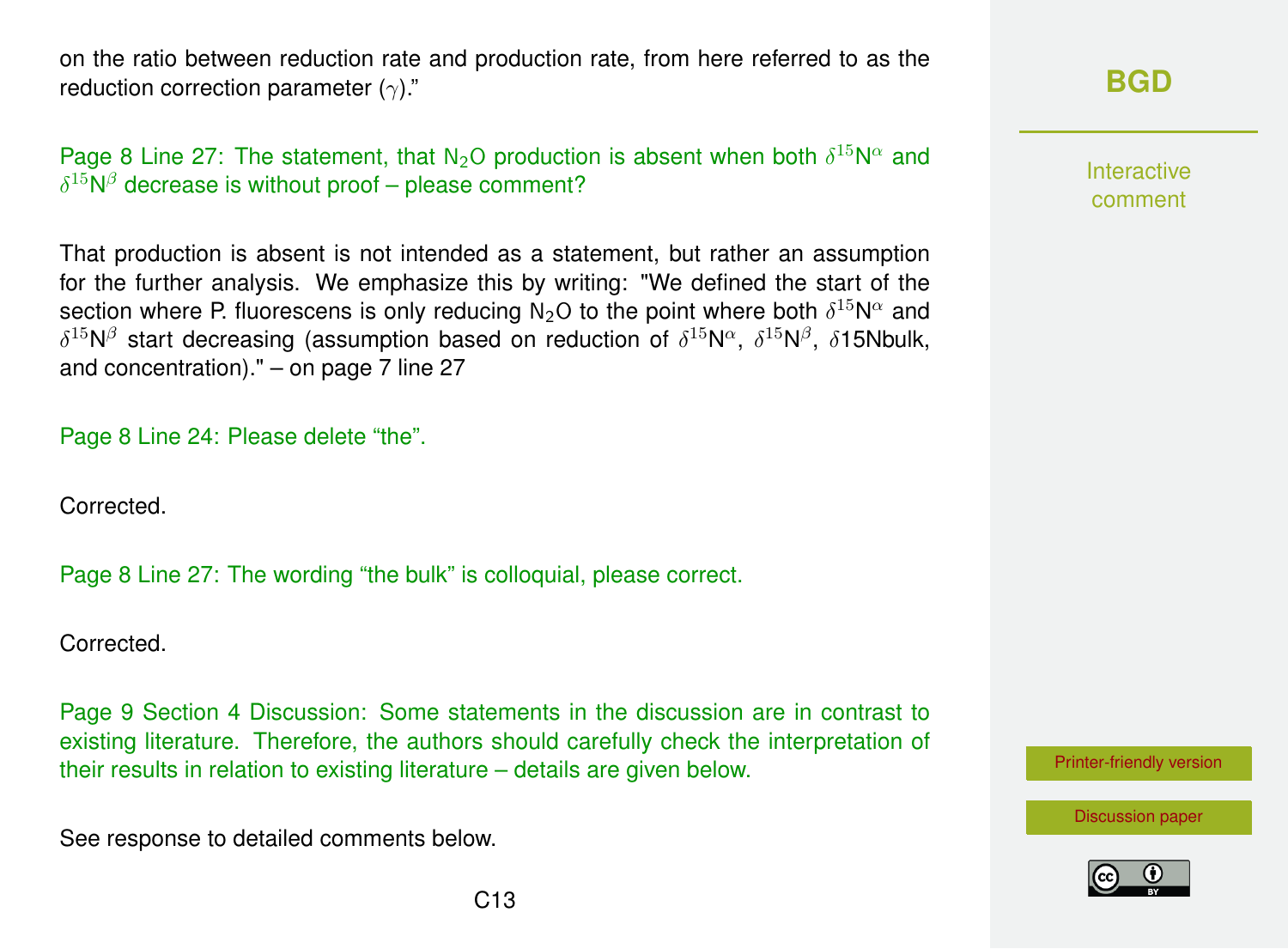on the ratio between reduction rate and production rate, from here referred to as the reduction correction parameter  $(\gamma)$ ."

Page 8 Line 27: The statement, that  $N_2O$  production is absent when both  $\delta^{15}N^{\alpha}$  and  $\delta^{15}$ N $\beta$  decrease is without proof – please comment?

| That production is absent is not intended as a statement, but rather an assumption                                                             |
|------------------------------------------------------------------------------------------------------------------------------------------------|
| for the further analysis. We emphasize this by writing: "We defined the start of the                                                           |
| section where P. fluorescens is only reducing N <sub>2</sub> O to the point where both $\delta^{15}N^{\alpha}$ and                             |
| $\delta^{15}N^{\beta}$ start decreasing (assumption based on reduction of $\delta^{15}N^{\alpha}$ , $\delta^{15}N^{\beta}$ , $\delta15N$ bulk, |
| and concentration)." $-$ on page 7 line 27                                                                                                     |

Page 8 Line 24: Please delete "the".

Corrected.

Page 8 Line 27: The wording "the bulk" is colloquial, please correct.

Corrected.

Page 9 Section 4 Discussion: Some statements in the discussion are in contrast to existing literature. Therefore, the authors should carefully check the interpretation of their results in relation to existing literature – details are given below.

See response to detailed comments below.

Interactive comment

[Printer-friendly version](http://www.biogeosciences-discuss.net/bg-2016-258/bg-2016-258-AC1-print.pdf)



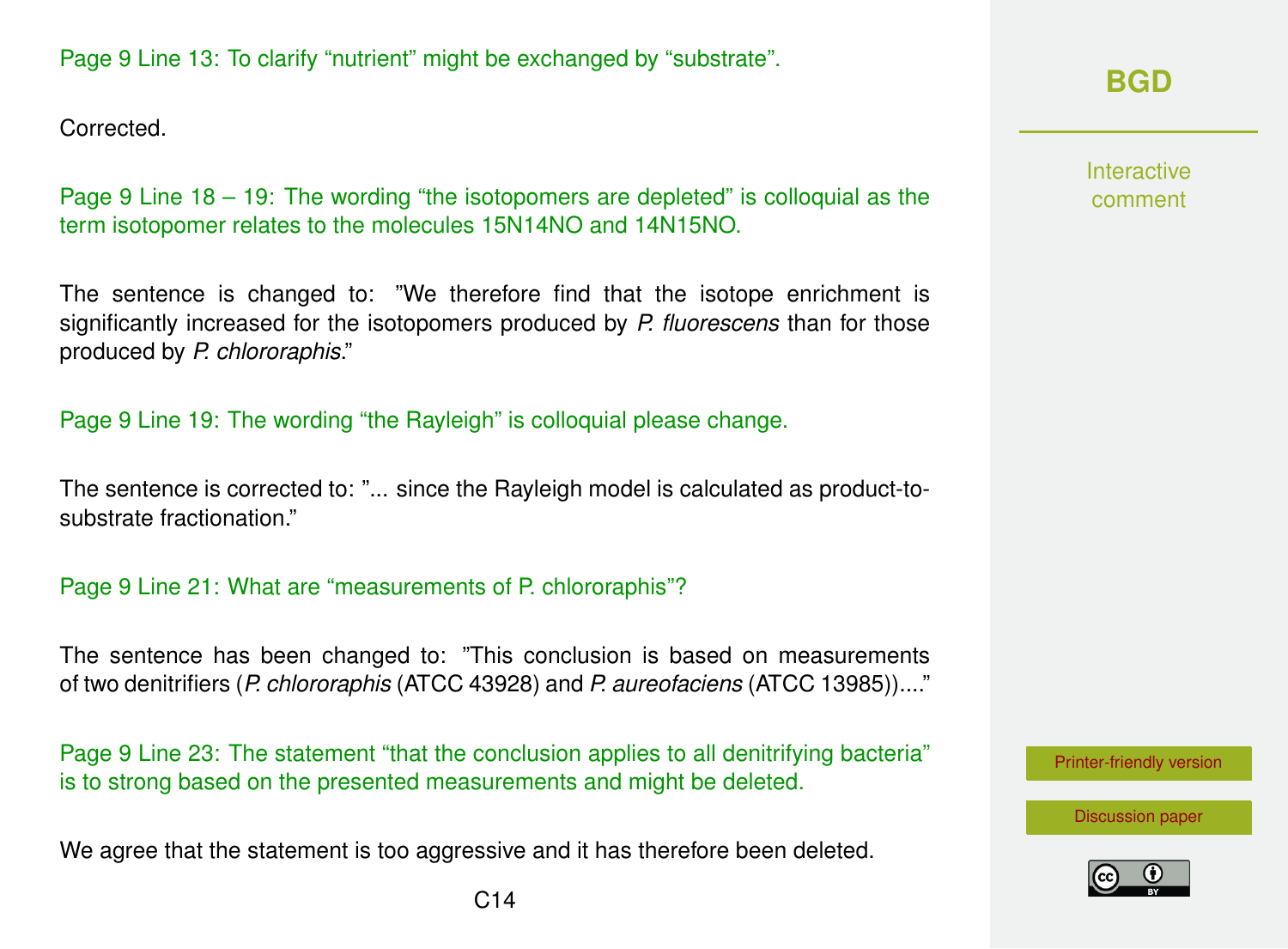### Page 9 Line 13: To clarify "nutrient" might be exchanged by "substrate".

Corrected.

Page 9 Line 18 – 19: The wording "the isotopomers are depleted" is colloquial as the term isotopomer relates to the molecules 15N14NO and 14N15NO.

The sentence is changed to: "We therefore find that the isotope enrichment is significantly increased for the isotopomers produced by *P. fluorescens* than for those produced by *P. chlororaphis*."

Page 9 Line 19: The wording "the Rayleigh" is colloquial please change.

The sentence is corrected to: "... since the Rayleigh model is calculated as product-tosubstrate fractionation."

### Page 9 Line 21: What are "measurements of P. chlororaphis"?

The sentence has been changed to: "This conclusion is based on measurements of two denitrifiers (*P. chlororaphis* (ATCC 43928) and *P. aureofaciens* (ATCC 13985))...."

Page 9 Line 23: The statement "that the conclusion applies to all denitrifying bacteria" is to strong based on the presented measurements and might be deleted.

We agree that the statement is too aggressive and it has therefore been deleted.

### **[BGD](http://www.biogeosciences-discuss.net/)**

Interactive comment

[Printer-friendly version](http://www.biogeosciences-discuss.net/bg-2016-258/bg-2016-258-AC1-print.pdf)



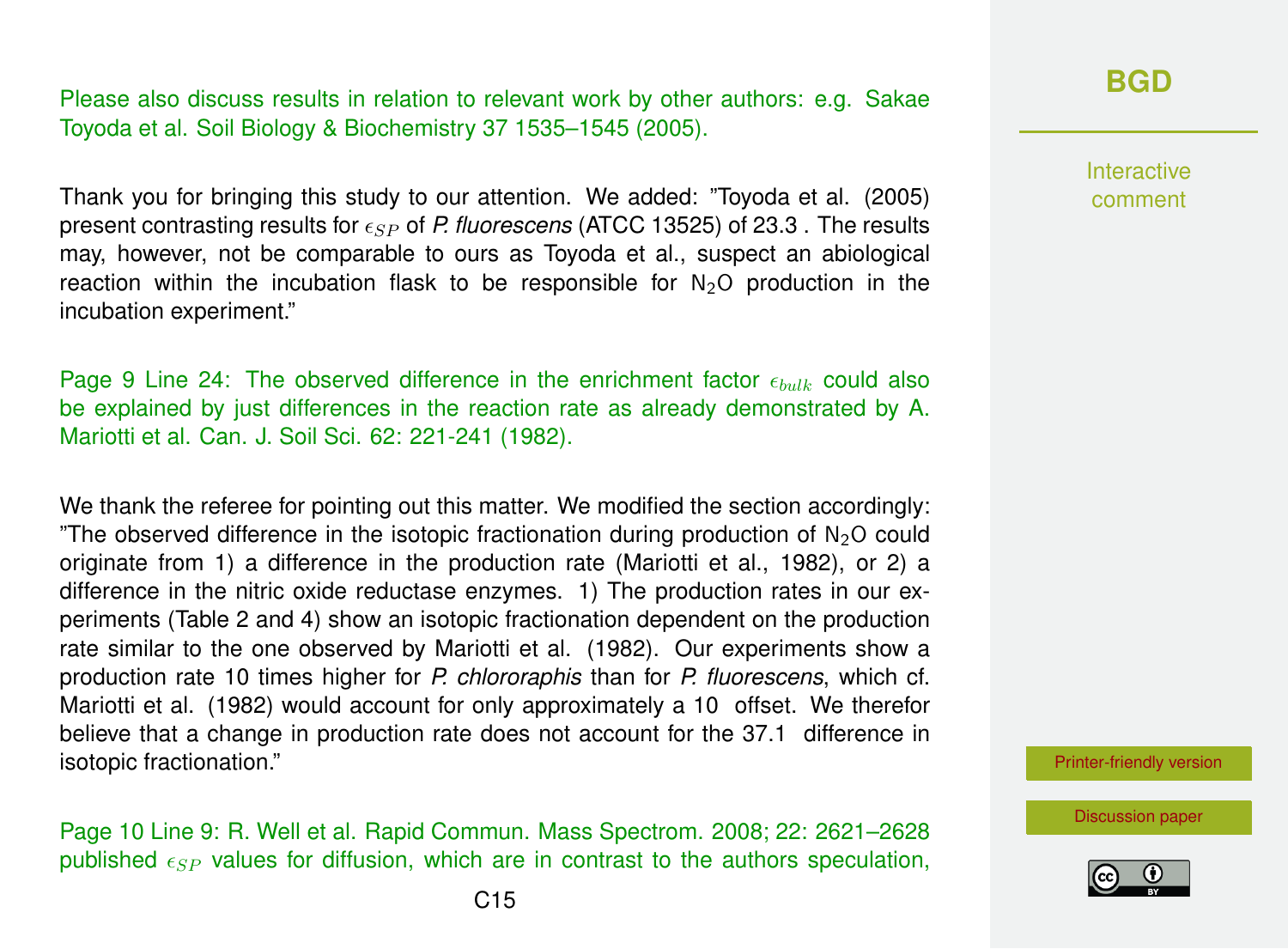Please also discuss results in relation to relevant work by other authors: e.g. Sakae Toyoda et al. Soil Biology & Biochemistry 37 1535–1545 (2005).

Thank you for bringing this study to our attention. We added: "Toyoda et al. (2005) present contrasting results for  $\epsilon_{SP}$  of *P. fluorescens* (ATCC 13525) of 23.3 . The results may, however, not be comparable to ours as Toyoda et al., suspect an abiological reaction within the incubation flask to be responsible for  $N_2O$  production in the incubation experiment."

Page 9 Line 24: The observed difference in the enrichment factor  $\epsilon_{bulk}$  could also be explained by just differences in the reaction rate as already demonstrated by A. Mariotti et al. Can. J. Soil Sci. 62: 221-241 (1982).

We thank the referee for pointing out this matter. We modified the section accordingly: "The observed difference in the isotopic fractionation during production of  $N<sub>2</sub>O$  could originate from 1) a difference in the production rate (Mariotti et al., 1982), or 2) a difference in the nitric oxide reductase enzymes. 1) The production rates in our experiments (Table 2 and 4) show an isotopic fractionation dependent on the production rate similar to the one observed by Mariotti et al. (1982). Our experiments show a production rate 10 times higher for *P. chlororaphis* than for *P. fluorescens*, which cf. Mariotti et al. (1982) would account for only approximately a 10 offset. We therefor believe that a change in production rate does not account for the 37.1 difference in isotopic fractionation."

Page 10 Line 9: R. Well et al. Rapid Commun. Mass Spectrom. 2008; 22: 2621–2628 published  $\epsilon_{SP}$  values for diffusion, which are in contrast to the authors speculation,

### **[BGD](http://www.biogeosciences-discuss.net/)**

**Interactive** comment

[Printer-friendly version](http://www.biogeosciences-discuss.net/bg-2016-258/bg-2016-258-AC1-print.pdf)

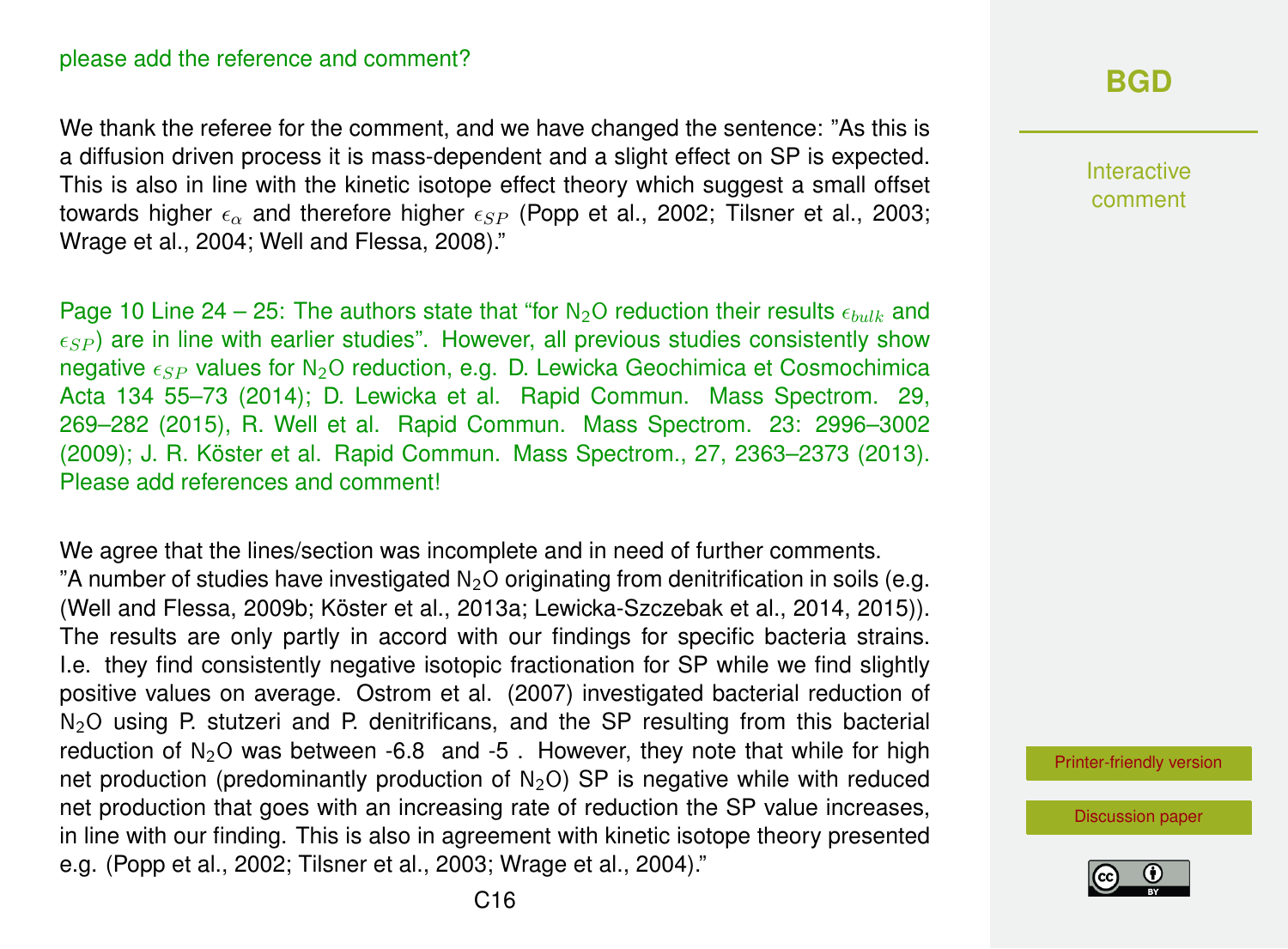We thank the referee for the comment, and we have changed the sentence: "As this is a diffusion driven process it is mass-dependent and a slight effect on SP is expected. This is also in line with the kinetic isotope effect theory which suggest a small offset towards higher  $\epsilon_{\alpha}$  and therefore higher  $\epsilon_{SP}$  (Popp et al., 2002; Tilsner et al., 2003; Wrage et al., 2004; Well and Flessa, 2008)."

Page 10 Line 24 – 25: The authors state that "for N<sub>2</sub>O reduction their results  $\epsilon_{bulk}$  and  $\epsilon_{SP}$ ) are in line with earlier studies". However, all previous studies consistently show negative  $\epsilon_{SP}$  values for N<sub>2</sub>O reduction, e.g. D. Lewicka Geochimica et Cosmochimica Acta 134 55–73 (2014); D. Lewicka et al. Rapid Commun. Mass Spectrom. 29, 269–282 (2015), R. Well et al. Rapid Commun. Mass Spectrom. 23: 2996–3002 (2009); J. R. Köster et al. Rapid Commun. Mass Spectrom., 27, 2363–2373 (2013). Please add references and comment!

We agree that the lines/section was incomplete and in need of further comments. "A number of studies have investigated  $N_2O$  originating from denitrification in soils (e.g. (Well and Flessa, 2009b; Köster et al., 2013a; Lewicka-Szczebak et al., 2014, 2015)). The results are only partly in accord with our findings for specific bacteria strains. I.e. they find consistently negative isotopic fractionation for SP while we find slightly positive values on average. Ostrom et al. (2007) investigated bacterial reduction of N<sub>2</sub>O using P. stutzeri and P. denitrificans, and the SP resulting from this bacterial reduction of  $N_2O$  was between -6.8 and -5. However, they note that while for high net production (predominantly production of  $N<sub>2</sub>O$ ) SP is negative while with reduced net production that goes with an increasing rate of reduction the SP value increases, in line with our finding. This is also in agreement with kinetic isotope theory presented e.g. (Popp et al., 2002; Tilsner et al., 2003; Wrage et al., 2004)."

Interactive comment

[Printer-friendly version](http://www.biogeosciences-discuss.net/bg-2016-258/bg-2016-258-AC1-print.pdf)

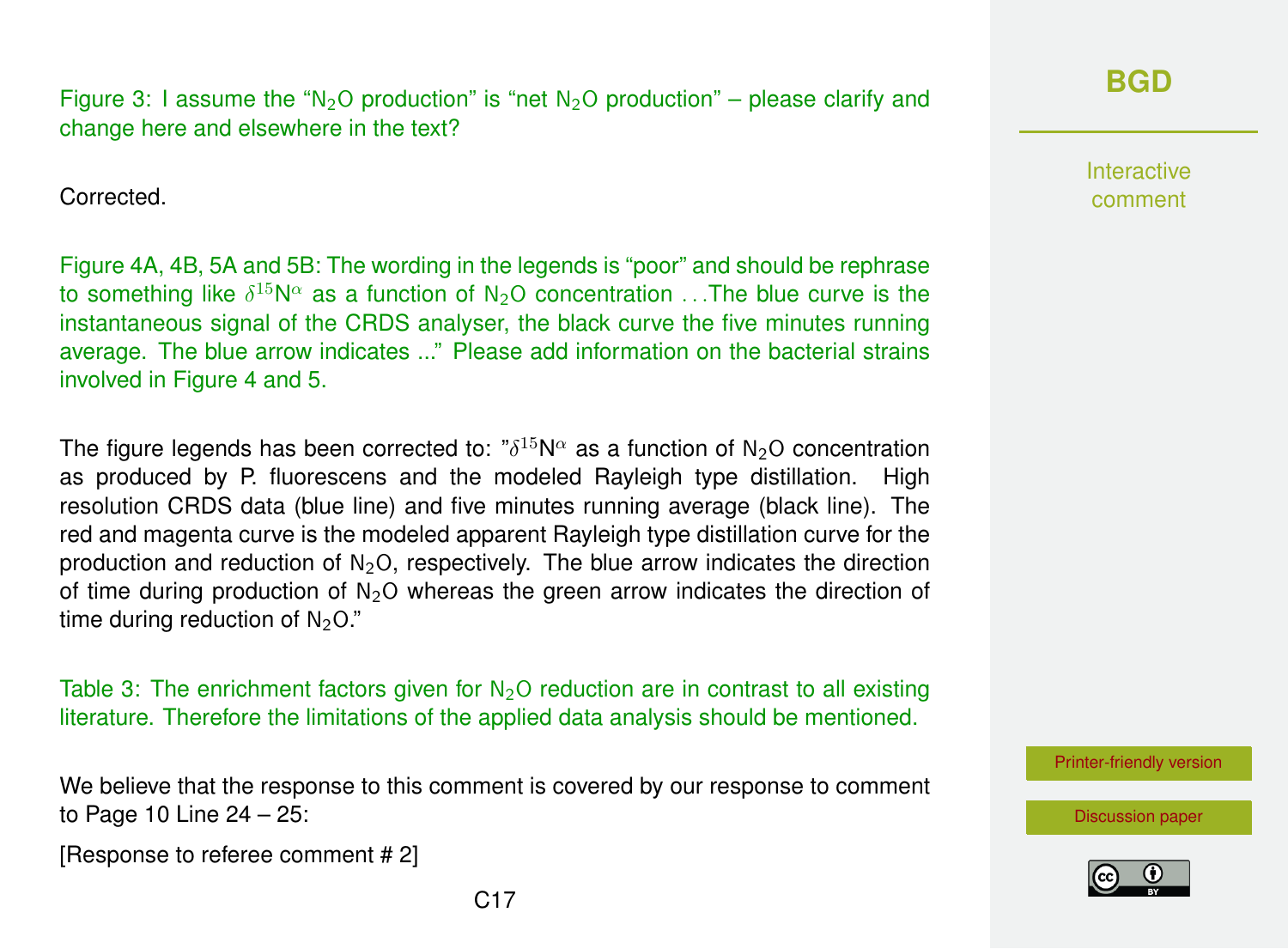Corrected.

Figure 4A, 4B, 5A and 5B: The wording in the legends is "poor" and should be rephrase to something like  $\delta^{15}$ N $\alpha$  as a function of N<sub>2</sub>O concentration ...The blue curve is the instantaneous signal of the CRDS analyser, the black curve the five minutes running average. The blue arrow indicates ..." Please add information on the bacterial strains involved in Figure 4 and 5.

The figure legends has been corrected to: " $\delta^{15}$ N $^{\alpha}$  as a function of N<sub>2</sub>O concentration as produced by P. fluorescens and the modeled Rayleigh type distillation. High resolution CRDS data (blue line) and five minutes running average (black line). The red and magenta curve is the modeled apparent Rayleigh type distillation curve for the production and reduction of  $N<sub>2</sub>O$ , respectively. The blue arrow indicates the direction of time during production of  $N_2O$  whereas the green arrow indicates the direction of time during reduction of  $N<sub>2</sub>O$ ."

Table 3: The enrichment factors given for  $N_2O$  reduction are in contrast to all existing literature. Therefore the limitations of the applied data analysis should be mentioned.

We believe that the response to this comment is covered by our response to comment to Page 10 Line 24 – 25:

[Response to referee comment # 2]

**Interactive** comment

[Printer-friendly version](http://www.biogeosciences-discuss.net/bg-2016-258/bg-2016-258-AC1-print.pdf)

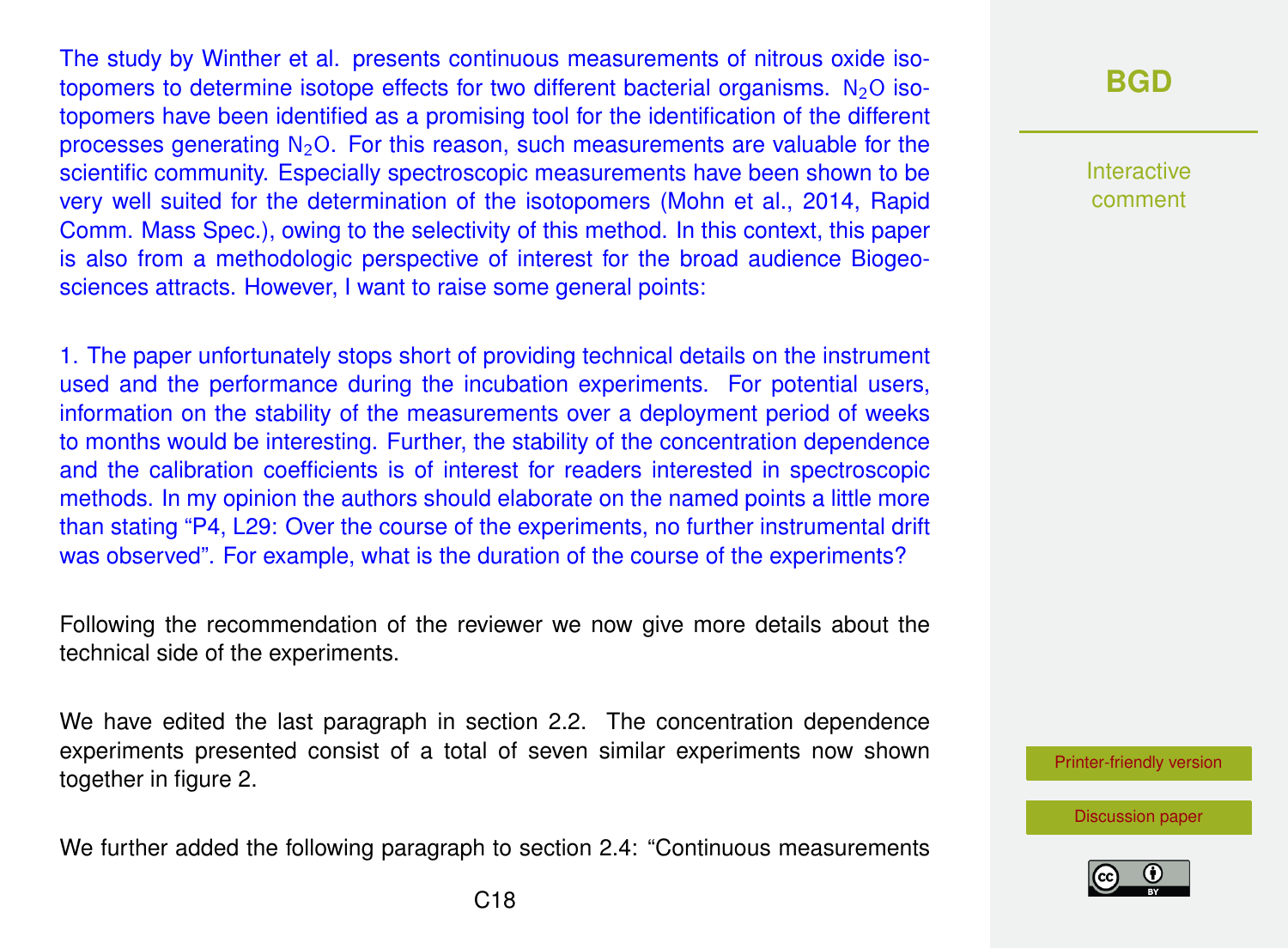The study by Winther et al. presents continuous measurements of nitrous oxide isotopomers to determine isotope effects for two different bacterial organisms.  $N_2O$  isotopomers have been identified as a promising tool for the identification of the different processes generating  $N<sub>2</sub>O$ . For this reason, such measurements are valuable for the scientific community. Especially spectroscopic measurements have been shown to be very well suited for the determination of the isotopomers (Mohn et al., 2014, Rapid Comm. Mass Spec.), owing to the selectivity of this method. In this context, this paper is also from a methodologic perspective of interest for the broad audience Biogeosciences attracts. However, I want to raise some general points:

1. The paper unfortunately stops short of providing technical details on the instrument used and the performance during the incubation experiments. For potential users, information on the stability of the measurements over a deployment period of weeks to months would be interesting. Further, the stability of the concentration dependence and the calibration coefficients is of interest for readers interested in spectroscopic methods. In my opinion the authors should elaborate on the named points a little more than stating "P4, L29: Over the course of the experiments, no further instrumental drift was observed". For example, what is the duration of the course of the experiments?

Following the recommendation of the reviewer we now give more details about the technical side of the experiments.

We have edited the last paragraph in section 2.2. The concentration dependence experiments presented consist of a total of seven similar experiments now shown together in figure 2.

We further added the following paragraph to section 2.4: "Continuous measurements

### **[BGD](http://www.biogeosciences-discuss.net/)**

Interactive comment

[Printer-friendly version](http://www.biogeosciences-discuss.net/bg-2016-258/bg-2016-258-AC1-print.pdf)

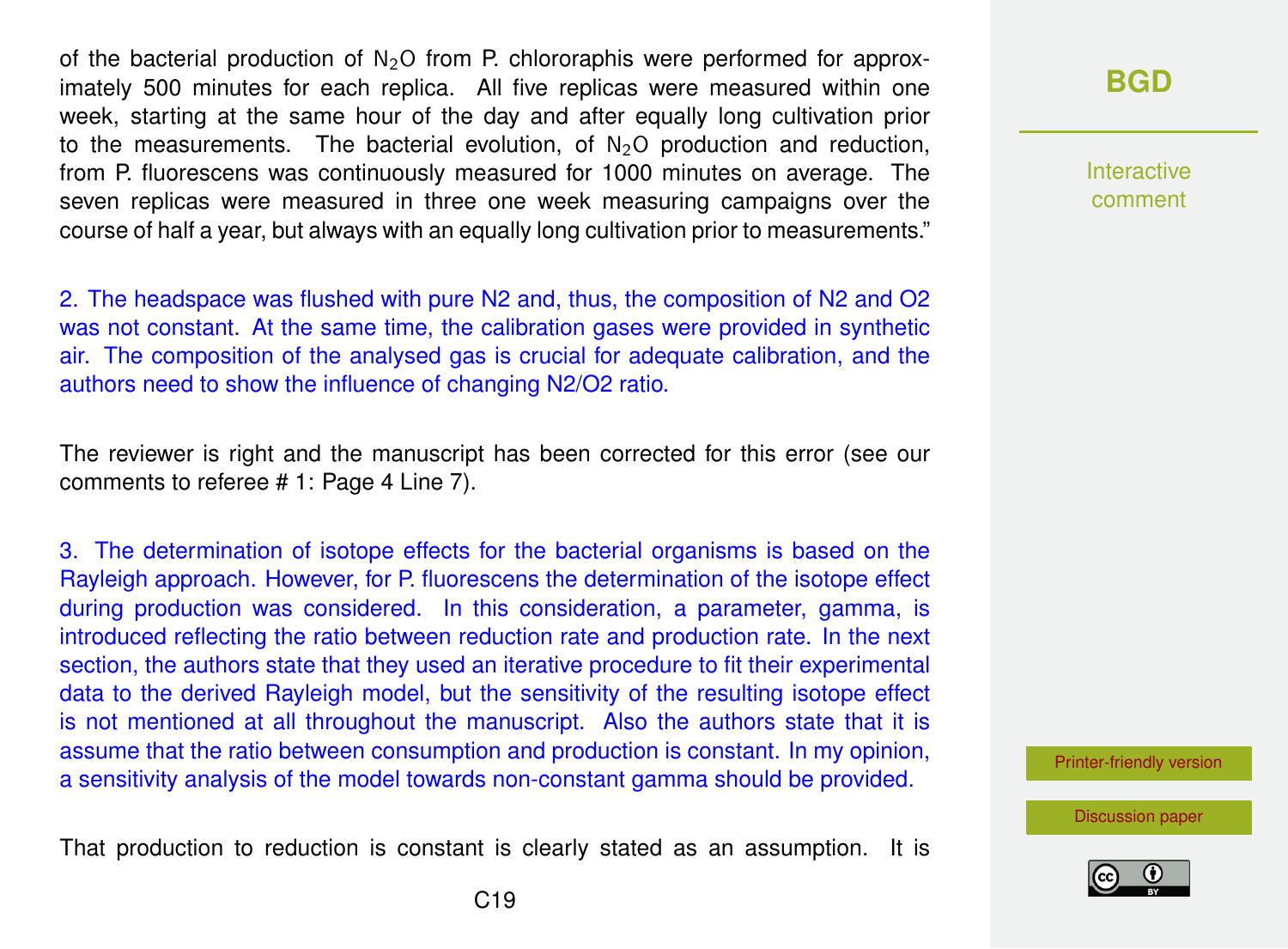of the bacterial production of  $N_2O$  from P. chlororaphis were performed for approximately 500 minutes for each replica. All five replicas were measured within one week, starting at the same hour of the day and after equally long cultivation prior to the measurements. The bacterial evolution, of  $N_2O$  production and reduction, from P. fluorescens was continuously measured for 1000 minutes on average. The seven replicas were measured in three one week measuring campaigns over the course of half a year, but always with an equally long cultivation prior to measurements."

2. The headspace was flushed with pure N2 and, thus, the composition of N2 and O2 was not constant. At the same time, the calibration gases were provided in synthetic air. The composition of the analysed gas is crucial for adequate calibration, and the authors need to show the influence of changing N2/O2 ratio.

The reviewer is right and the manuscript has been corrected for this error (see our comments to referee # 1: Page 4 Line 7).

3. The determination of isotope effects for the bacterial organisms is based on the Rayleigh approach. However, for P. fluorescens the determination of the isotope effect during production was considered. In this consideration, a parameter, gamma, is introduced reflecting the ratio between reduction rate and production rate. In the next section, the authors state that they used an iterative procedure to fit their experimental data to the derived Rayleigh model, but the sensitivity of the resulting isotope effect is not mentioned at all throughout the manuscript. Also the authors state that it is assume that the ratio between consumption and production is constant. In my opinion, a sensitivity analysis of the model towards non-constant gamma should be provided.

That production to reduction is constant is clearly stated as an assumption. It is

### **[BGD](http://www.biogeosciences-discuss.net/)**

Interactive comment

[Printer-friendly version](http://www.biogeosciences-discuss.net/bg-2016-258/bg-2016-258-AC1-print.pdf)

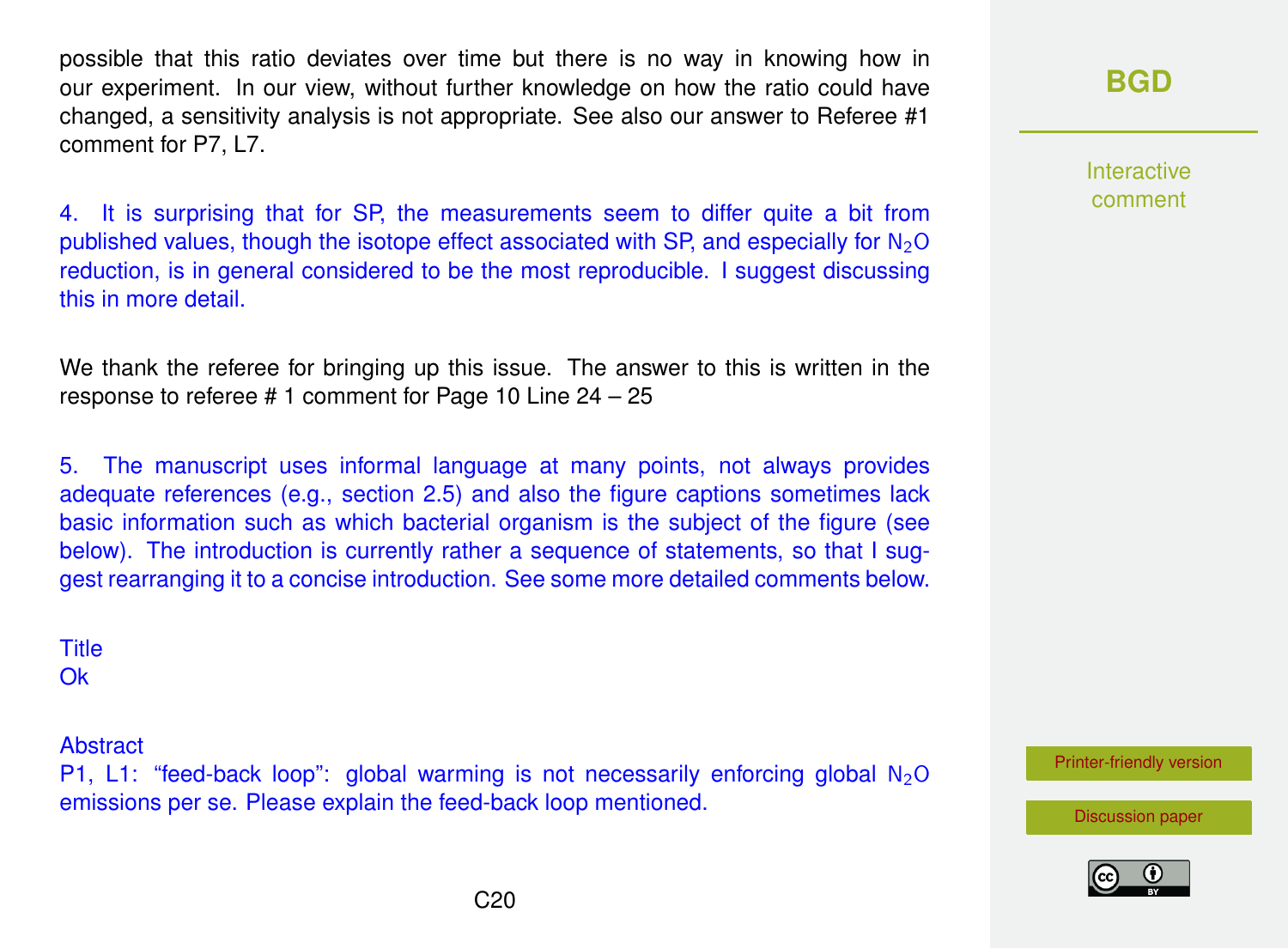possible that this ratio deviates over time but there is no way in knowing how in our experiment. In our view, without further knowledge on how the ratio could have changed, a sensitivity analysis is not appropriate. See also our answer to Referee #1 comment for P7, L7.

4. It is surprising that for SP, the measurements seem to differ quite a bit from published values, though the isotope effect associated with SP, and especially for  $N_2O$ reduction, is in general considered to be the most reproducible. I suggest discussing this in more detail.

We thank the referee for bringing up this issue. The answer to this is written in the response to referee # 1 comment for Page 10 Line 24 – 25

5. The manuscript uses informal language at many points, not always provides adequate references (e.g., section 2.5) and also the figure captions sometimes lack basic information such as which bacterial organism is the subject of the figure (see below). The introduction is currently rather a sequence of statements, so that I suggest rearranging it to a concise introduction. See some more detailed comments below.

**Title O<sub>k</sub>** 

Abstract

P1, L1: "feed-back loop": global warming is not necessarily enforcing global  $N_2O$ emissions per se. Please explain the feed-back loop mentioned.

### **[BGD](http://www.biogeosciences-discuss.net/)**

Interactive comment

[Printer-friendly version](http://www.biogeosciences-discuss.net/bg-2016-258/bg-2016-258-AC1-print.pdf)



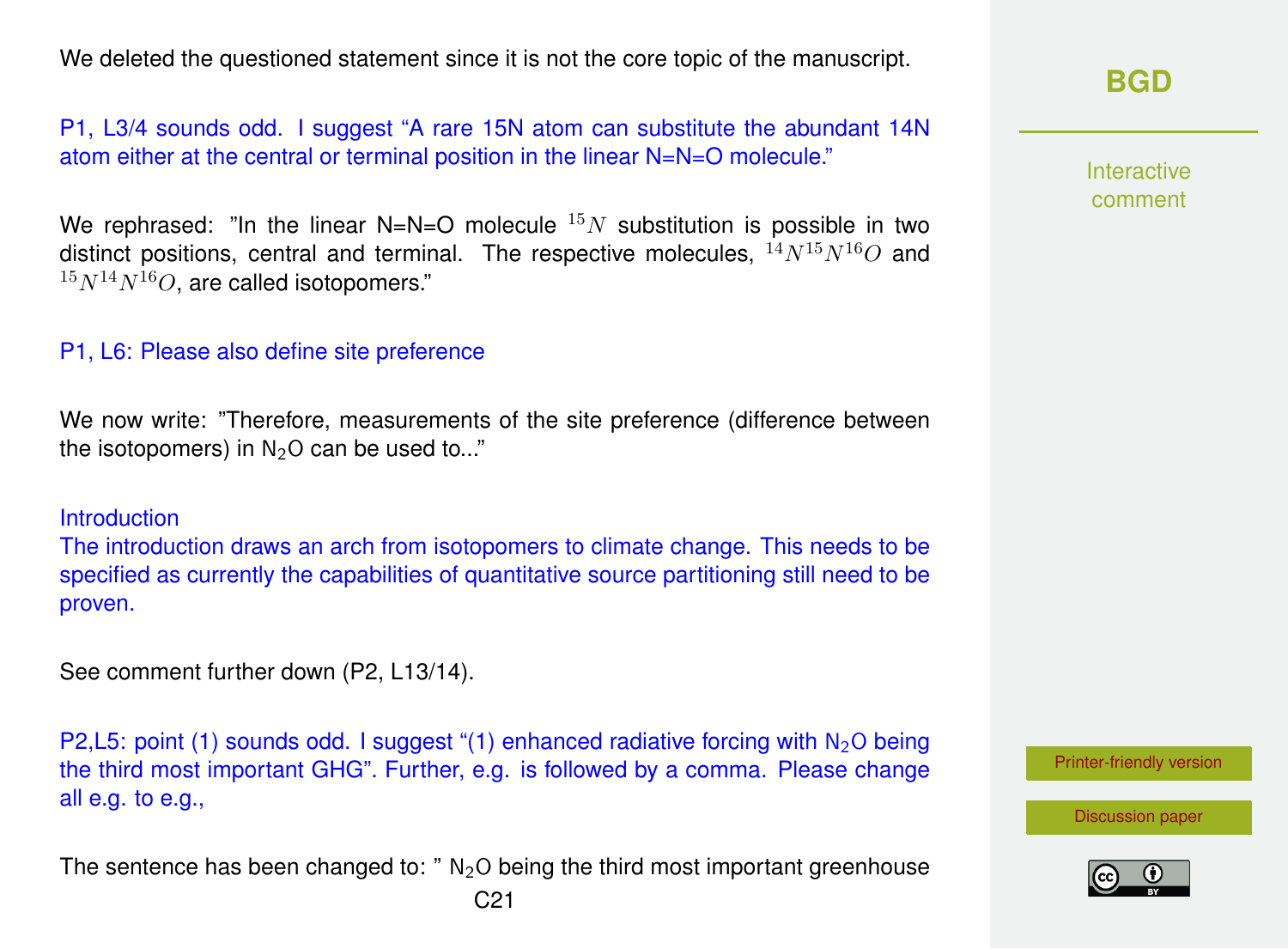We deleted the questioned statement since it is not the core topic of the manuscript.

P1, L3/4 sounds odd. I suggest "A rare 15N atom can substitute the abundant 14N atom either at the central or terminal position in the linear N=N=O molecule."

We rephrased: "In the linear N=N=O molecule  $15N$  substitution is possible in two distinct positions, central and terminal. The respective molecules,  $^{14}N^{15}N^{16}O$  and  $15N^{14}N^{16}O$ , are called isotopomers."

### P1, L6: Please also define site preference

We now write: "Therefore, measurements of the site preference (difference between the isotopomers) in  $N<sub>2</sub>O$  can be used to..."

#### **Introduction**

The introduction draws an arch from isotopomers to climate change. This needs to be specified as currently the capabilities of quantitative source partitioning still need to be proven.

See comment further down (P2, L13/14).

P2,L5: point (1) sounds odd. I suggest "(1) enhanced radiative forcing with  $N_2O$  being the third most important GHG". Further, e.g. is followed by a comma. Please change all e.g. to e.g.,

The sentence has been changed to:  $"$  N<sub>2</sub>O being the third most important greenhouse

### **[BGD](http://www.biogeosciences-discuss.net/)**

Interactive comment

[Printer-friendly version](http://www.biogeosciences-discuss.net/bg-2016-258/bg-2016-258-AC1-print.pdf)

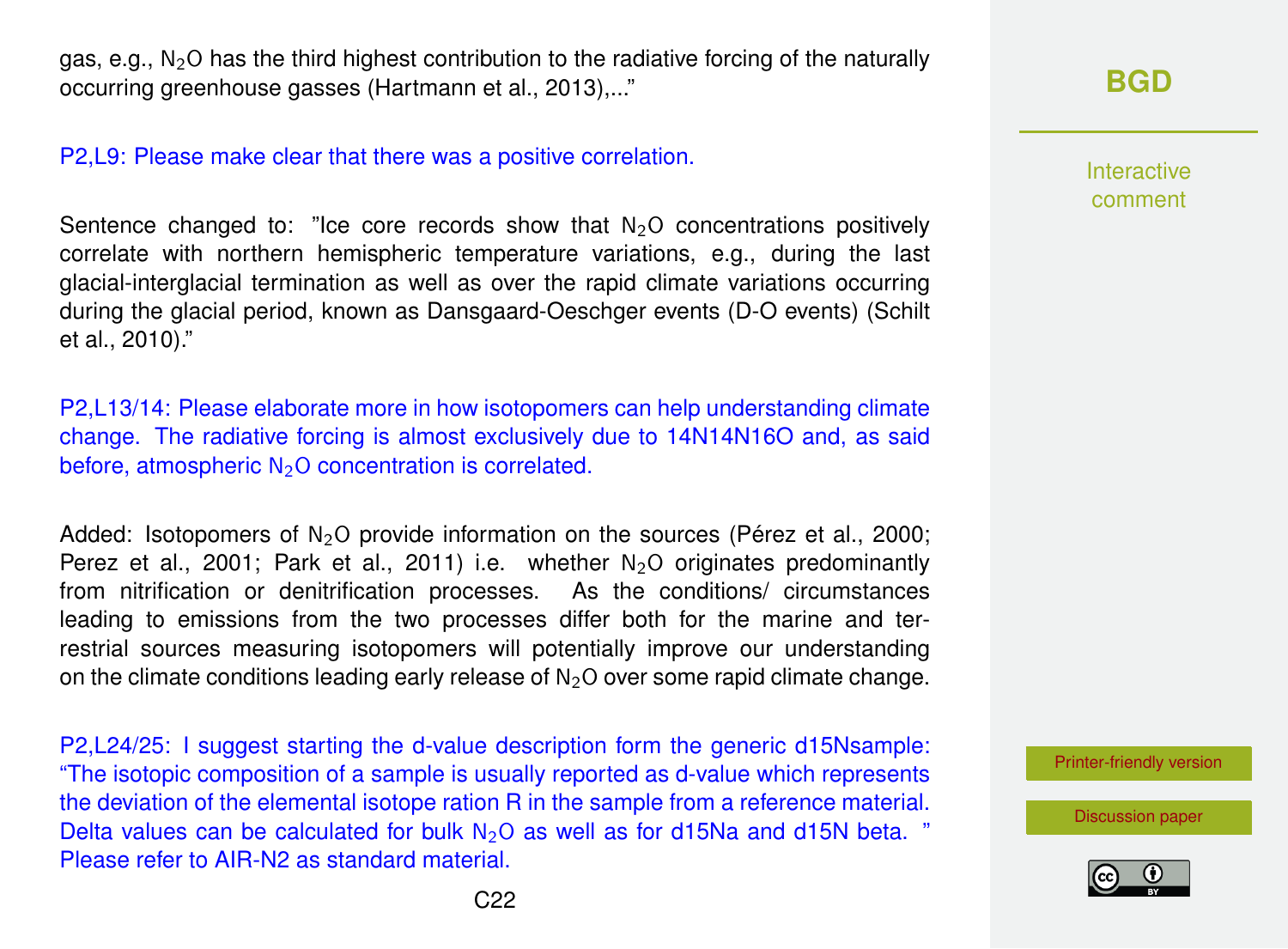gas, e.g.,  $N_2O$  has the third highest contribution to the radiative forcing of the naturally occurring greenhouse gasses (Hartmann et al., 2013),..."

#### P2,L9: Please make clear that there was a positive correlation.

Sentence changed to: "Ice core records show that  $N<sub>2</sub>O$  concentrations positively correlate with northern hemispheric temperature variations, e.g., during the last glacial-interglacial termination as well as over the rapid climate variations occurring during the glacial period, known as Dansgaard-Oeschger events (D-O events) (Schilt et al., 2010)."

P2,L13/14: Please elaborate more in how isotopomers can help understanding climate change. The radiative forcing is almost exclusively due to 14N14N16O and, as said before, atmospheric  $N_2O$  concentration is correlated.

Added: Isotopomers of  $N_2O$  provide information on the sources (Pérez et al., 2000; Perez et al., 2001; Park et al., 2011) i.e. whether  $N<sub>2</sub>O$  originates predominantly from nitrification or denitrification processes. As the conditions/ circumstances leading to emissions from the two processes differ both for the marine and terrestrial sources measuring isotopomers will potentially improve our understanding on the climate conditions leading early release of  $N<sub>2</sub>O$  over some rapid climate change.

P2,L24/25: I suggest starting the d-value description form the generic d15Nsample: "The isotopic composition of a sample is usually reported as d-value which represents the deviation of the elemental isotope ration R in the sample from a reference material. Delta values can be calculated for bulk  $N_2O$  as well as for d15Na and d15N beta. " Please refer to AIR-N2 as standard material.

Interactive comment

[Printer-friendly version](http://www.biogeosciences-discuss.net/bg-2016-258/bg-2016-258-AC1-print.pdf)

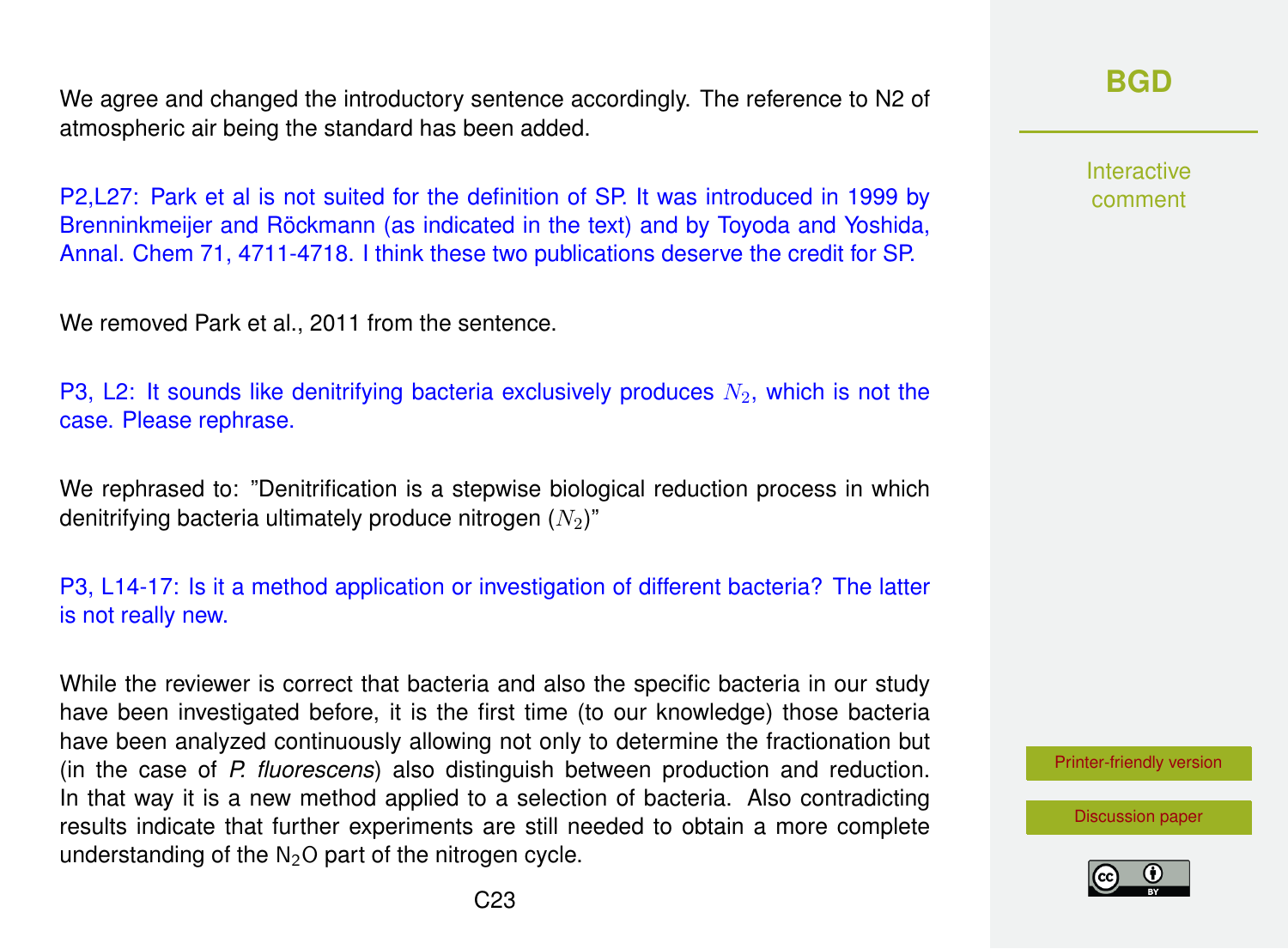We agree and changed the introductory sentence accordingly. The reference to N2 of atmospheric air being the standard has been added.

P2,L27: Park et al is not suited for the definition of SP. It was introduced in 1999 by Brenninkmeijer and Röckmann (as indicated in the text) and by Toyoda and Yoshida, Annal. Chem 71, 4711-4718. I think these two publications deserve the credit for SP.

We removed Park et al., 2011 from the sentence.

P3, L2: It sounds like denitrifying bacteria exclusively produces  $N<sub>2</sub>$ , which is not the case. Please rephrase.

We rephrased to: "Denitrification is a stepwise biological reduction process in which denitrifying bacteria ultimately produce nitrogen  $(N_2)$ "

### P3, L14-17: Is it a method application or investigation of different bacteria? The latter is not really new.

While the reviewer is correct that bacteria and also the specific bacteria in our study have been investigated before, it is the first time (to our knowledge) those bacteria have been analyzed continuously allowing not only to determine the fractionation but (in the case of *P. fluorescens*) also distinguish between production and reduction. In that way it is a new method applied to a selection of bacteria. Also contradicting results indicate that further experiments are still needed to obtain a more complete understanding of the  $N<sub>2</sub>O$  part of the nitrogen cycle.

**[BGD](http://www.biogeosciences-discuss.net/)**

Interactive comment

[Printer-friendly version](http://www.biogeosciences-discuss.net/bg-2016-258/bg-2016-258-AC1-print.pdf)

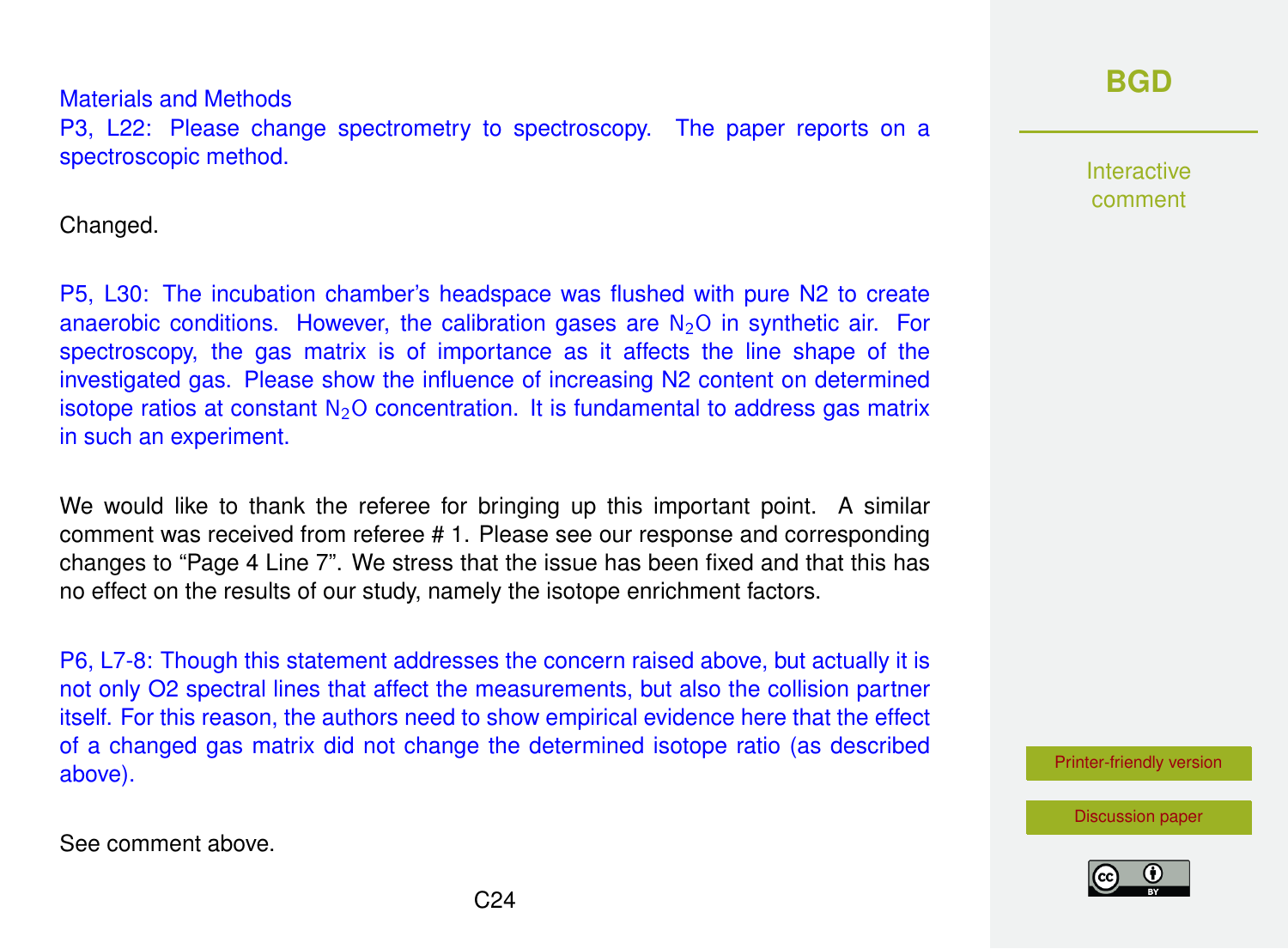### Materials and Methods P3, L22: Please change spectrometry to spectroscopy. The paper reports on a spectroscopic method.

Changed.

P5, L30: The incubation chamber's headspace was flushed with pure N2 to create anaerobic conditions. However, the calibration gases are  $N_2O$  in synthetic air. For spectroscopy, the gas matrix is of importance as it affects the line shape of the investigated gas. Please show the influence of increasing N2 content on determined isotope ratios at constant  $N<sub>2</sub>O$  concentration. It is fundamental to address gas matrix in such an experiment.

We would like to thank the referee for bringing up this important point. A similar comment was received from referee # 1. Please see our response and corresponding changes to "Page 4 Line 7". We stress that the issue has been fixed and that this has no effect on the results of our study, namely the isotope enrichment factors.

P6, L7-8: Though this statement addresses the concern raised above, but actually it is not only O2 spectral lines that affect the measurements, but also the collision partner itself. For this reason, the authors need to show empirical evidence here that the effect of a changed gas matrix did not change the determined isotope ratio (as described above).

See comment above.

# **[BGD](http://www.biogeosciences-discuss.net/)**

**Interactive** comment

[Printer-friendly version](http://www.biogeosciences-discuss.net/bg-2016-258/bg-2016-258-AC1-print.pdf)

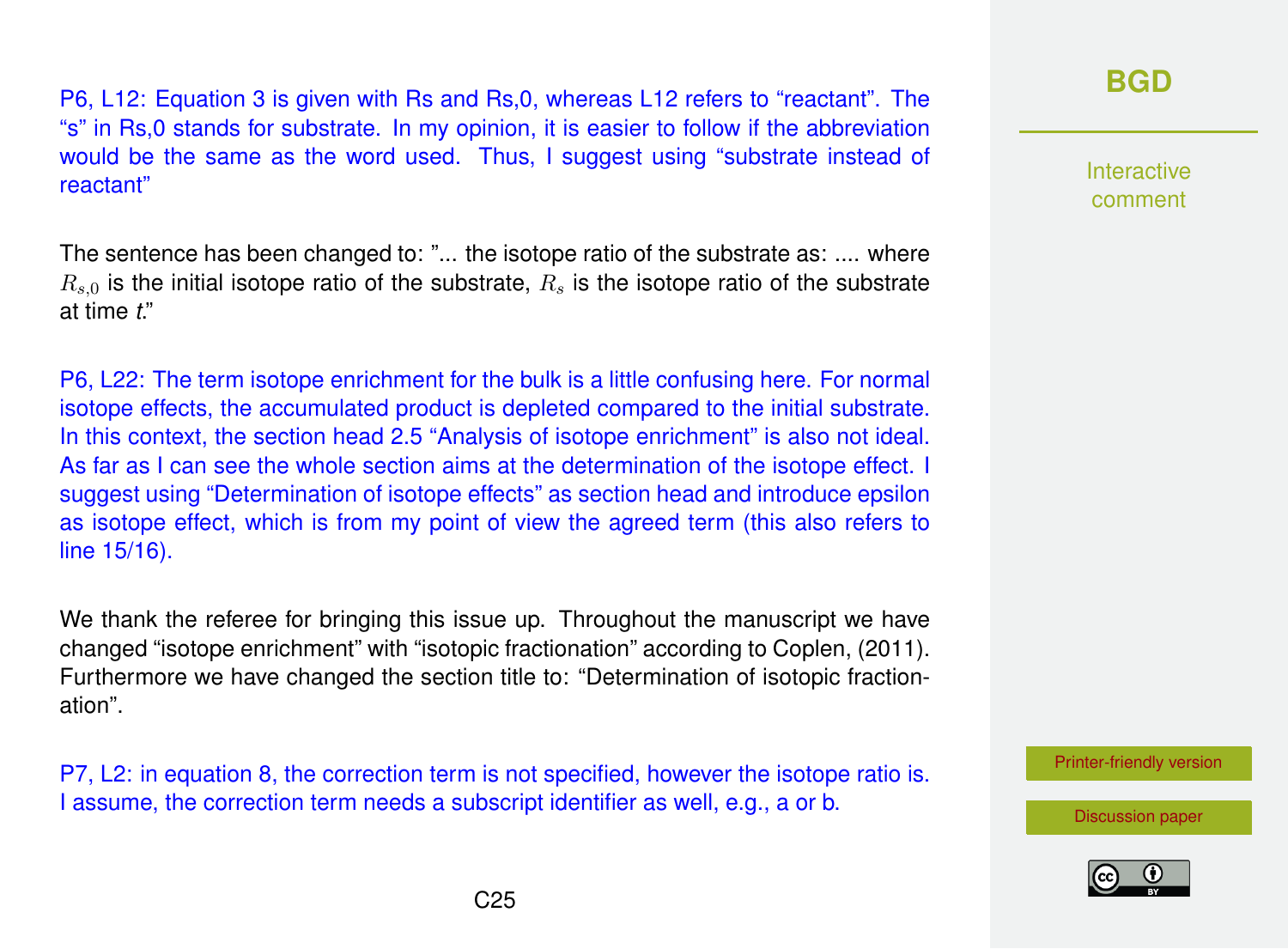P6, L12: Equation 3 is given with Rs and Rs,0, whereas L12 refers to "reactant". The "s" in Rs,0 stands for substrate. In my opinion, it is easier to follow if the abbreviation would be the same as the word used. Thus, I suggest using "substrate instead of reactant"

The sentence has been changed to: "... the isotope ratio of the substrate as: .... where  $R_{s,0}$  is the initial isotope ratio of the substrate,  $R_s$  is the isotope ratio of the substrate at time *t*."

P6, L22: The term isotope enrichment for the bulk is a little confusing here. For normal isotope effects, the accumulated product is depleted compared to the initial substrate. In this context, the section head 2.5 "Analysis of isotope enrichment" is also not ideal. As far as I can see the whole section aims at the determination of the isotope effect. I suggest using "Determination of isotope effects" as section head and introduce epsilon as isotope effect, which is from my point of view the agreed term (this also refers to line 15/16).

We thank the referee for bringing this issue up. Throughout the manuscript we have changed "isotope enrichment" with "isotopic fractionation" according to Coplen, (2011). Furthermore we have changed the section title to: "Determination of isotopic fractionation".

P7, L2: in equation 8, the correction term is not specified, however the isotope ratio is. I assume, the correction term needs a subscript identifier as well, e.g., a or b.

# **[BGD](http://www.biogeosciences-discuss.net/)**

Interactive comment

[Printer-friendly version](http://www.biogeosciences-discuss.net/bg-2016-258/bg-2016-258-AC1-print.pdf)

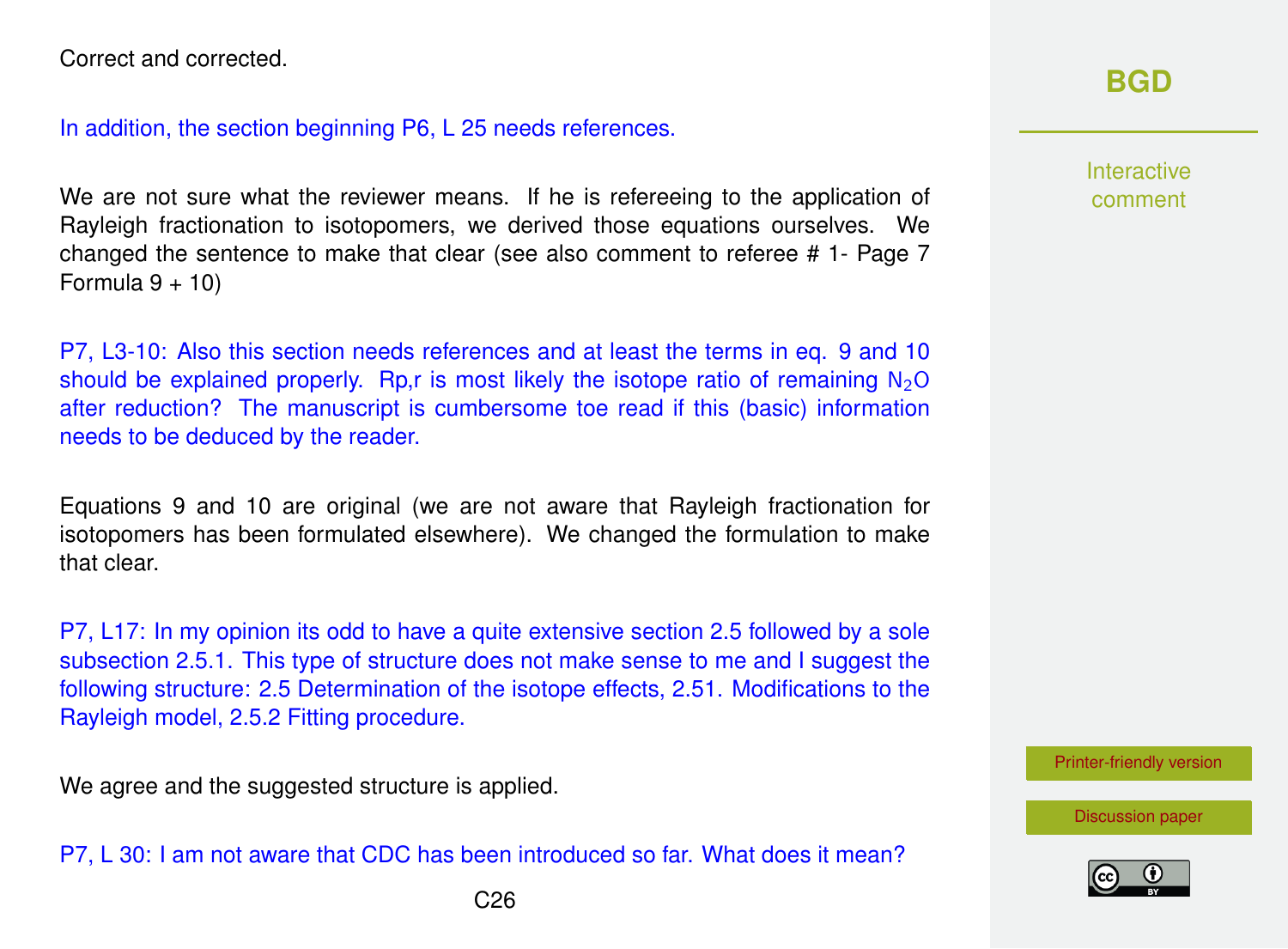Correct and corrected.

In addition, the section beginning P6, L 25 needs references.

We are not sure what the reviewer means. If he is refereeing to the application of Rayleigh fractionation to isotopomers, we derived those equations ourselves. We changed the sentence to make that clear (see also comment to referee # 1- Page 7 Formula  $9 + 10$ 

P7, L3-10: Also this section needs references and at least the terms in eq. 9 and 10 should be explained properly. Rp, r is most likely the isotope ratio of remaining  $N_2O$ after reduction? The manuscript is cumbersome toe read if this (basic) information needs to be deduced by the reader.

Equations 9 and 10 are original (we are not aware that Rayleigh fractionation for isotopomers has been formulated elsewhere). We changed the formulation to make that clear.

P7, L17: In my opinion its odd to have a quite extensive section 2.5 followed by a sole subsection 2.5.1. This type of structure does not make sense to me and I suggest the following structure: 2.5 Determination of the isotope effects, 2.51. Modifications to the Rayleigh model, 2.5.2 Fitting procedure.

We agree and the suggested structure is applied.

P7, L 30: I am not aware that CDC has been introduced so far. What does it mean?

Interactive comment

[Printer-friendly version](http://www.biogeosciences-discuss.net/bg-2016-258/bg-2016-258-AC1-print.pdf)

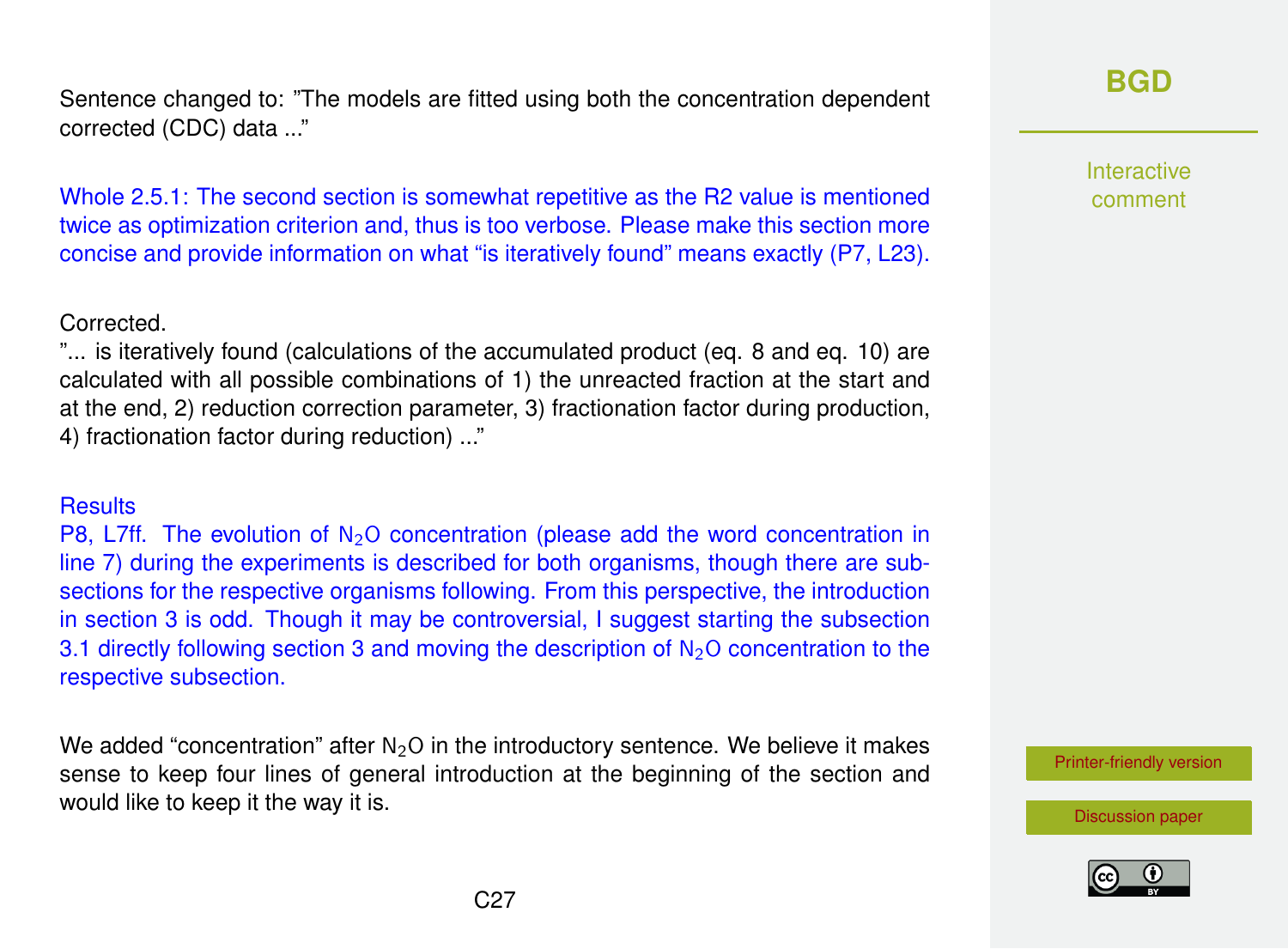Sentence changed to: "The models are fitted using both the concentration dependent corrected (CDC) data ..."

Whole 2.5.1: The second section is somewhat repetitive as the R2 value is mentioned twice as optimization criterion and, thus is too verbose. Please make this section more concise and provide information on what "is iteratively found" means exactly (P7, L23).

#### Corrected.

"... is iteratively found (calculations of the accumulated product (eq. 8 and eq. 10) are calculated with all possible combinations of 1) the unreacted fraction at the start and at the end, 2) reduction correction parameter, 3) fractionation factor during production, 4) fractionation factor during reduction) ..."

#### **Results**

P8, L7ff. The evolution of  $N<sub>2</sub>O$  concentration (please add the word concentration in line 7) during the experiments is described for both organisms, though there are subsections for the respective organisms following. From this perspective, the introduction in section 3 is odd. Though it may be controversial, I suggest starting the subsection 3.1 directly following section 3 and moving the description of  $N<sub>2</sub>O$  concentration to the respective subsection.

We added "concentration" after  $N_2O$  in the introductory sentence. We believe it makes sense to keep four lines of general introduction at the beginning of the section and would like to keep it the way it is.

### **[BGD](http://www.biogeosciences-discuss.net/)**

Interactive comment

[Printer-friendly version](http://www.biogeosciences-discuss.net/bg-2016-258/bg-2016-258-AC1-print.pdf)



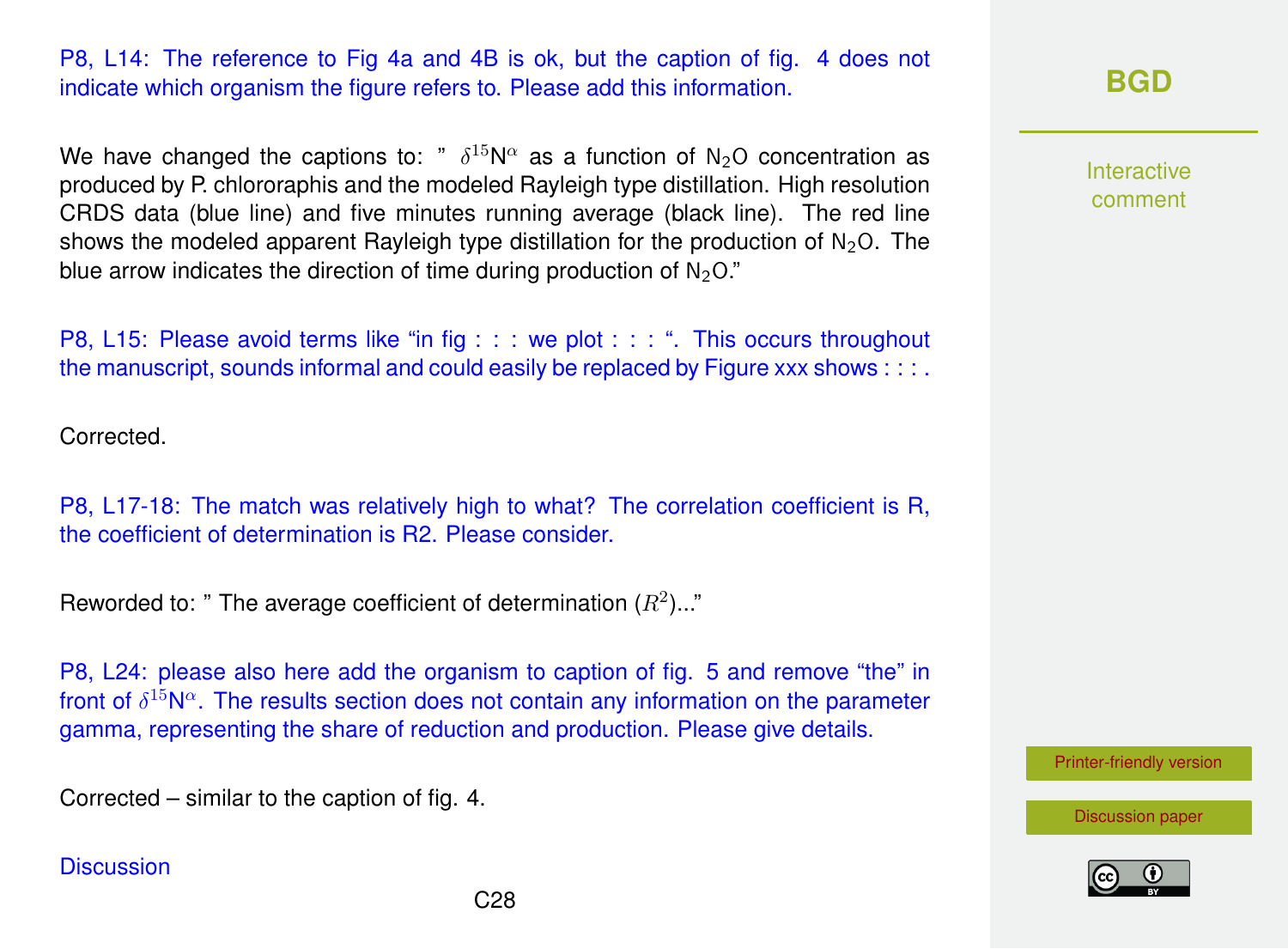P8, L14: The reference to Fig 4a and 4B is ok, but the caption of fig. 4 does not indicate which organism the figure refers to. Please add this information.

We have changed the captions to: "  $\delta^{15}N^{\alpha}$  as a function of N<sub>2</sub>O concentration as produced by P. chlororaphis and the modeled Rayleigh type distillation. High resolution CRDS data (blue line) and five minutes running average (black line). The red line shows the modeled apparent Rayleigh type distillation for the production of  $N_2O$ . The blue arrow indicates the direction of time during production of  $N_2O$ ."

P8, L15: Please avoid terms like "in fig : : : we plot : : : ". This occurs throughout the manuscript, sounds informal and could easily be replaced by Figure xxx shows : : : .

Corrected.

P8, L17-18: The match was relatively high to what? The correlation coefficient is R, the coefficient of determination is R2. Please consider.

Reworded to: " The average coefficient of determination  $(R^2)$ ..."

P8, L24: please also here add the organism to caption of fig. 5 and remove "the" in front of  $\delta^{15}N^{\alpha}$ . The results section does not contain any information on the parameter gamma, representing the share of reduction and production. Please give details.

Corrected – similar to the caption of fig. 4.

**Discussion** 



Interactive comment

[Printer-friendly version](http://www.biogeosciences-discuss.net/bg-2016-258/bg-2016-258-AC1-print.pdf)